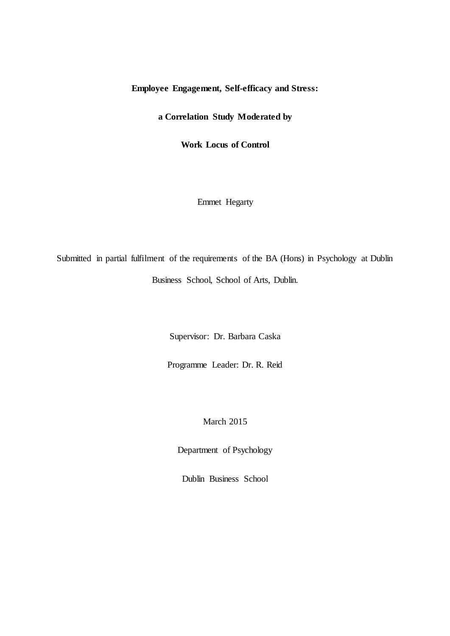# **Employee Engagement, Self-efficacy and Stress:**

**a Correlation Study Moderated by**

**Work Locus of Control**

Emmet Hegarty

Submitted in partial fulfilment of the requirements of the BA (Hons) in Psychology at Dublin Business School, School of Arts, Dublin.

Supervisor: Dr. Barbara Caska

Programme Leader: Dr. R. Reid

March 2015

Department of Psychology

Dublin Business School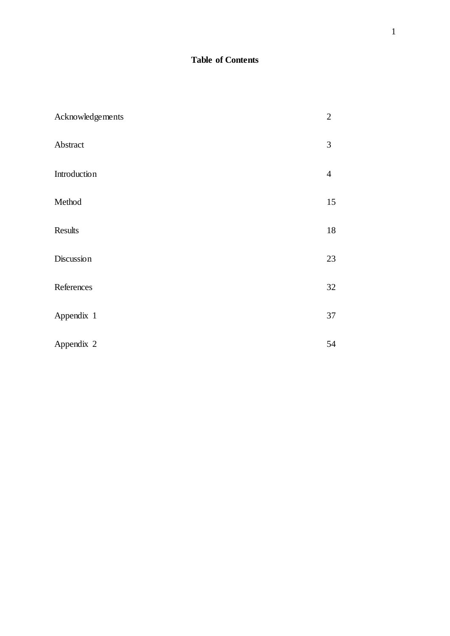# **Table of Contents**

| Acknowledgements | $\overline{2}$ |
|------------------|----------------|
| Abstract         | $\mathfrak{Z}$ |
| Introduction     | $\overline{4}$ |
| Method           | 15             |
| Results          | 18             |
| Discussion       | 23             |
| References       | 32             |
| Appendix 1       | 37             |
| Appendix 2       | 54             |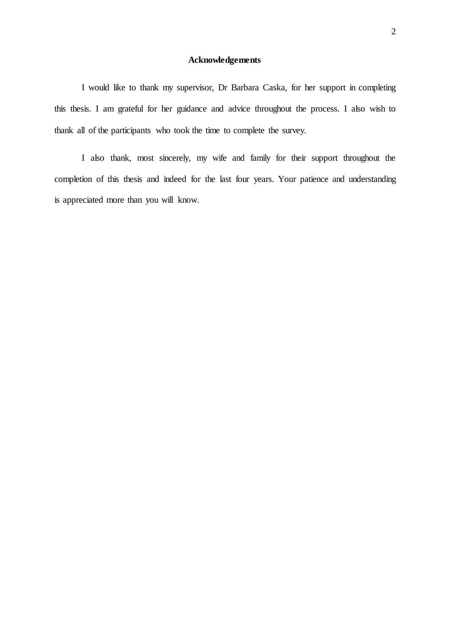## **Acknowledgements**

I would like to thank my supervisor, Dr Barbara Caska, for her support in completing this thesis. I am grateful for her guidance and advice throughout the process. I also wish to thank all of the participants who took the time to complete the survey.

I also thank, most sincerely, my wife and family for their support throughout the completion of this thesis and indeed for the last four years. Your patience and understanding is appreciated more than you will know.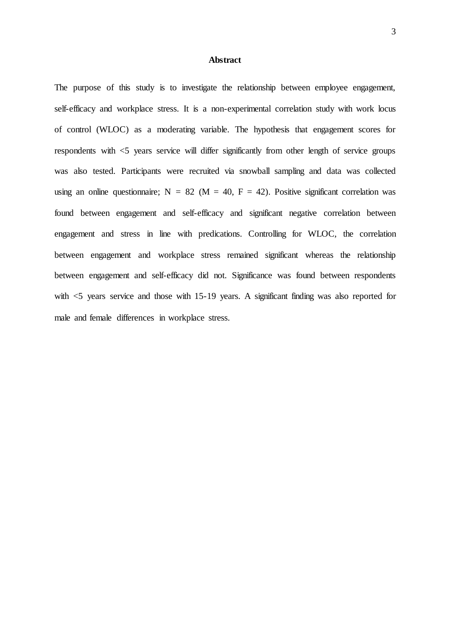### **Abstract**

The purpose of this study is to investigate the relationship between employee engagement, self-efficacy and workplace stress. It is a non-experimental correlation study with work locus of control (WLOC) as a moderating variable. The hypothesis that engagement scores for respondents with <5 years service will differ significantly from other length of service groups was also tested. Participants were recruited via snowball sampling and data was collected using an online questionnaire;  $N = 82$  ( $M = 40$ ,  $F = 42$ ). Positive significant correlation was found between engagement and self-efficacy and significant negative correlation between engagement and stress in line with predications. Controlling for WLOC, the correlation between engagement and workplace stress remained significant whereas the relationship between engagement and self-efficacy did not. Significance was found between respondents with  $\leq$  years service and those with 15-19 years. A significant finding was also reported for male and female differences in workplace stress.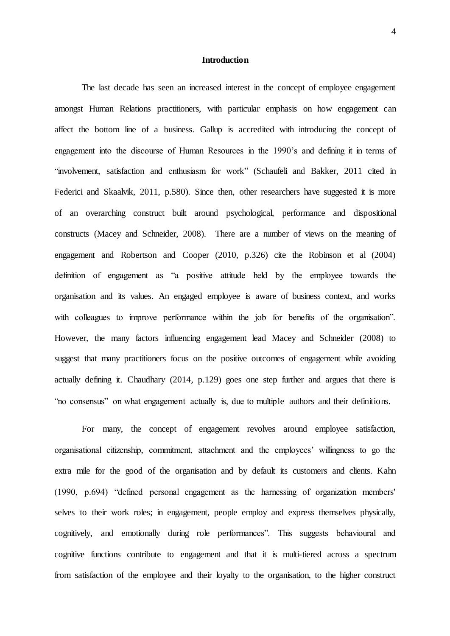#### **Introduction**

The last decade has seen an increased interest in the concept of employee engagement amongst Human Relations practitioners, with particular emphasis on how engagement can affect the bottom line of a business. Gallup is accredited with introducing the concept of engagement into the discourse of Human Resources in the 1990's and defining it in terms of "involvement, satisfaction and enthusiasm for work" (Schaufeli and Bakker, 2011 cited in Federici and Skaalvik, 2011, p.580). Since then, other researchers have suggested it is more of an overarching construct built around psychological, performance and dispositional constructs (Macey and Schneider, 2008). There are a number of views on the meaning of engagement and Robertson and Cooper (2010, p.326) cite the Robinson et al (2004) definition of engagement as "a positive attitude held by the employee towards the organisation and its values. An engaged employee is aware of business context, and works with colleagues to improve performance within the job for benefits of the organisation". However, the many factors influencing engagement lead Macey and Schneider (2008) to suggest that many practitioners focus on the positive outcomes of engagement while avoiding actually defining it. Chaudhary (2014, p.129) goes one step further and argues that there is "no consensus" on what engagement actually is, due to multiple authors and their definitions.

For many, the concept of engagement revolves around employee satisfaction, organisational citizenship, commitment, attachment and the employees' willingness to go the extra mile for the good of the organisation and by default its customers and clients. Kahn (1990, p.694) "defined personal engagement as the harnessing of organization members' selves to their work roles; in engagement, people employ and express themselves physically, cognitively, and emotionally during role performances". This suggests behavioural and cognitive functions contribute to engagement and that it is multi-tiered across a spectrum from satisfaction of the employee and their loyalty to the organisation, to the higher construct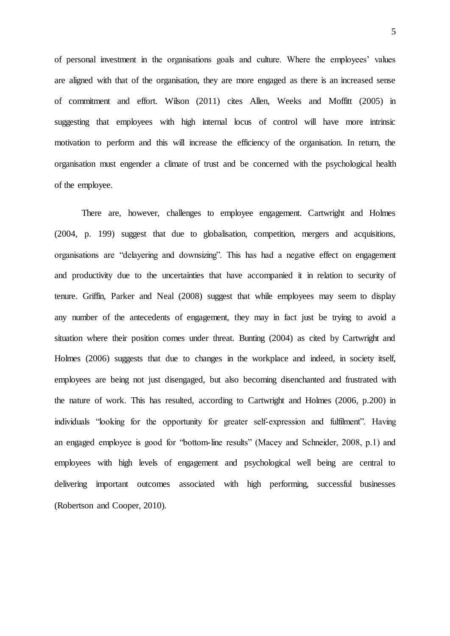of personal investment in the organisations goals and culture. Where the employees' values are aligned with that of the organisation, they are more engaged as there is an increased sense of commitment and effort. Wilson (2011) cites Allen, Weeks and Moffitt (2005) in suggesting that employees with high internal locus of control will have more intrinsic motivation to perform and this will increase the efficiency of the organisation. In return, the organisation must engender a climate of trust and be concerned with the psychological health of the employee.

There are, however, challenges to employee engagement. Cartwright and Holmes (2004, p. 199) suggest that due to globalisation, competition, mergers and acquisitions, organisations are "delayering and downsizing". This has had a negative effect on engagement and productivity due to the uncertainties that have accompanied it in relation to security of tenure. Griffin, Parker and Neal (2008) suggest that while employees may seem to display any number of the antecedents of engagement, they may in fact just be trying to avoid a situation where their position comes under threat. Bunting (2004) as cited by Cartwright and Holmes (2006) suggests that due to changes in the workplace and indeed, in society itself, employees are being not just disengaged, but also becoming disenchanted and frustrated with the nature of work. This has resulted, according to Cartwright and Holmes (2006, p.200) in individuals "looking for the opportunity for greater self-expression and fulfilment". Having an engaged employee is good for "bottom-line results" (Macey and Schneider, 2008, p.1) and employees with high levels of engagement and psychological well being are central to delivering important outcomes associated with high performing, successful businesses (Robertson and Cooper, 2010).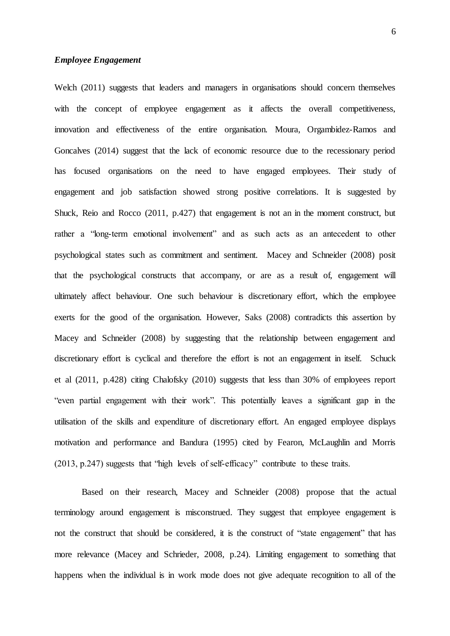### *Employee Engagement*

Welch (2011) suggests that leaders and managers in organisations should concern themselves with the concept of employee engagement as it affects the overall competitiveness, innovation and effectiveness of the entire organisation. Moura, Orgambidez-Ramos and Goncalves (2014) suggest that the lack of economic resource due to the recessionary period has focused organisations on the need to have engaged employees. Their study of engagement and job satisfaction showed strong positive correlations. It is suggested by Shuck, Reio and Rocco (2011, p.427) that engagement is not an in the moment construct, but rather a "long-term emotional involvement" and as such acts as an antecedent to other psychological states such as commitment and sentiment. Macey and Schneider (2008) posit that the psychological constructs that accompany, or are as a result of, engagement will ultimately affect behaviour. One such behaviour is discretionary effort, which the employee exerts for the good of the organisation. However, Saks (2008) contradicts this assertion by Macey and Schneider (2008) by suggesting that the relationship between engagement and discretionary effort is cyclical and therefore the effort is not an engagement in itself. Schuck et al (2011, p.428) citing Chalofsky (2010) suggests that less than 30% of employees report "even partial engagement with their work". This potentially leaves a significant gap in the utilisation of the skills and expenditure of discretionary effort. An engaged employee displays motivation and performance and Bandura (1995) cited by Fearon, McLaughlin and Morris (2013, p.247) suggests that "high levels of self-efficacy" contribute to these traits.

Based on their research, Macey and Schneider (2008) propose that the actual terminology around engagement is misconstrued. They suggest that employee engagement is not the construct that should be considered, it is the construct of "state engagement" that has more relevance (Macey and Schrieder, 2008, p.24). Limiting engagement to something that happens when the individual is in work mode does not give adequate recognition to all of the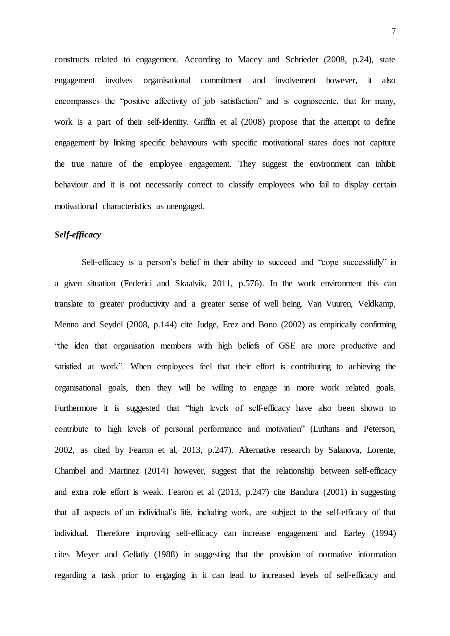constructs related to engagement. According to Macey and Schrieder (2008, p.24), state engagement involves organisational commitment and involvement however, it also encompasses the "positive affectivity of job satisfaction" and is cognoscente, that for many, work is a part of their self-identity. Griffin et al (2008) propose that the attempt to define engagement by linking specific behaviours with specific motivational states does not capture the true nature of the employee engagement. They suggest the environment can inhibit behaviour and it is not necessarily correct to classify employees who fail to display certain motivational characteristics as unengaged.

## *Self-efficacy*

Self-efficacy is a person's belief in their ability to succeed and "cope successfully" in a given situation (Federici and Skaalvik, 2011, p.576). In the work environment this can translate to greater productivity and a greater sense of well being. Van Vuuren, Veldkamp, Menno and Seydel (2008, p.144) cite Judge, Erez and Bono (2002) as empirically confirming "the idea that organisation members with high beliefs of GSE are more productive and satisfied at work". When employees feel that their effort is contributing to achieving the organisational goals, then they will be willing to engage in more work related goals. Furthermore it is suggested that "high levels of self-efficacy have also been shown to contribute to high levels of personal performance and motivation" (Luthans and Peterson, 2002, as cited by Fearon et al, 2013, p.247). Alternative research by Salanova, Lorente, Chambel and Martinez (2014) however, suggest that the relationship between self-efficacy and extra role effort is weak. Fearon et al (2013, p.247) cite Bandura (2001) in suggesting that all aspects of an individual's life, including work, are subject to the self-efficacy of that individual. Therefore improving self-efficacy can increase engagement and Earley (1994) cites Meyer and Gellatly (1988) in suggesting that the provision of normative information regarding a task prior to engaging in it can lead to increased levels of self-efficacy and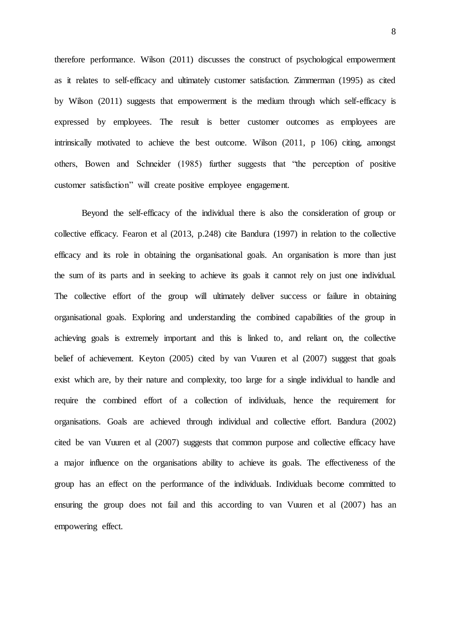therefore performance. Wilson (2011) discusses the construct of psychological empowerment as it relates to self-efficacy and ultimately customer satisfaction. Zimmerman (1995) as cited by Wilson (2011) suggests that empowerment is the medium through which self-efficacy is expressed by employees. The result is better customer outcomes as employees are intrinsically motivated to achieve the best outcome. Wilson (2011, p 106) citing, amongst others, Bowen and Schneider (1985) further suggests that "the perception of positive customer satisfaction" will create positive employee engagement.

Beyond the self-efficacy of the individual there is also the consideration of group or collective efficacy. Fearon et al (2013, p.248) cite Bandura (1997) in relation to the collective efficacy and its role in obtaining the organisational goals. An organisation is more than just the sum of its parts and in seeking to achieve its goals it cannot rely on just one individual. The collective effort of the group will ultimately deliver success or failure in obtaining organisational goals. Exploring and understanding the combined capabilities of the group in achieving goals is extremely important and this is linked to, and reliant on, the collective belief of achievement. Keyton (2005) cited by van Vuuren et al (2007) suggest that goals exist which are, by their nature and complexity, too large for a single individual to handle and require the combined effort of a collection of individuals, hence the requirement for organisations. Goals are achieved through individual and collective effort. Bandura (2002) cited be van Vuuren et al (2007) suggests that common purpose and collective efficacy have a major influence on the organisations ability to achieve its goals. The effectiveness of the group has an effect on the performance of the individuals. Individuals become committed to ensuring the group does not fail and this according to van Vuuren et al (2007) has an empowering effect.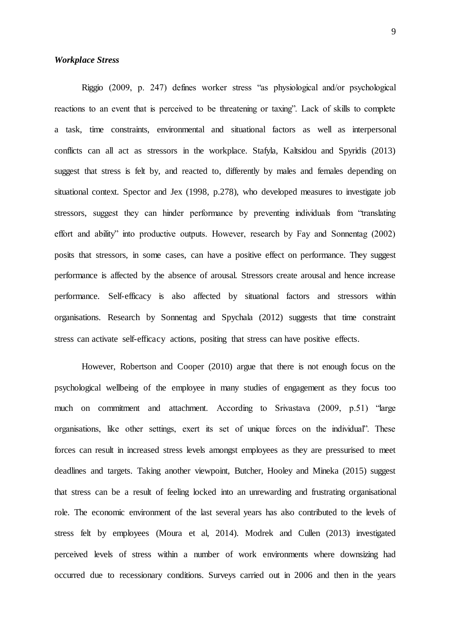#### *Workplace Stress*

Riggio (2009, p. 247) defines worker stress "as physiological and/or psychological reactions to an event that is perceived to be threatening or taxing". Lack of skills to complete a task, time constraints, environmental and situational factors as well as interpersonal conflicts can all act as stressors in the workplace. Stafyla, Kaltsidou and Spyridis (2013) suggest that stress is felt by, and reacted to, differently by males and females depending on situational context. Spector and Jex (1998, p.278), who developed measures to investigate job stressors, suggest they can hinder performance by preventing individuals from "translating effort and ability" into productive outputs. However, research by Fay and Sonnentag (2002) posits that stressors, in some cases, can have a positive effect on performance. They suggest performance is affected by the absence of arousal. Stressors create arousal and hence increase performance. Self-efficacy is also affected by situational factors and stressors within organisations. Research by Sonnentag and Spychala (2012) suggests that time constraint stress can activate self-efficacy actions, positing that stress can have positive effects.

However, Robertson and Cooper (2010) argue that there is not enough focus on the psychological wellbeing of the employee in many studies of engagement as they focus too much on commitment and attachment. According to Srivastava (2009, p.51) "large organisations, like other settings, exert its set of unique forces on the individual". These forces can result in increased stress levels amongst employees as they are pressurised to meet deadlines and targets. Taking another viewpoint, Butcher, Hooley and Mineka (2015) suggest that stress can be a result of feeling locked into an unrewarding and frustrating organisational role. The economic environment of the last several years has also contributed to the levels of stress felt by employees (Moura et al, 2014). Modrek and Cullen (2013) investigated perceived levels of stress within a number of work environments where downsizing had occurred due to recessionary conditions. Surveys carried out in 2006 and then in the years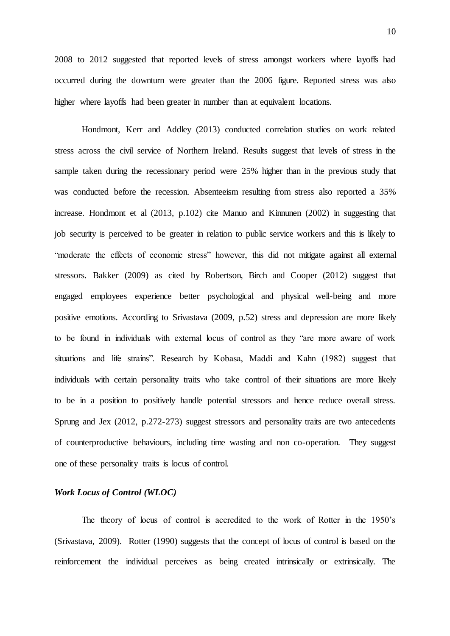2008 to 2012 suggested that reported levels of stress amongst workers where layoffs had occurred during the downturn were greater than the 2006 figure. Reported stress was also higher where layoffs had been greater in number than at equivalent locations.

Hondmont, Kerr and Addley (2013) conducted correlation studies on work related stress across the civil service of Northern Ireland. Results suggest that levels of stress in the sample taken during the recessionary period were 25% higher than in the previous study that was conducted before the recession. Absenteeism resulting from stress also reported a 35% increase. Hondmont et al (2013, p.102) cite Manuo and Kinnunen (2002) in suggesting that job security is perceived to be greater in relation to public service workers and this is likely to "moderate the effects of economic stress" however, this did not mitigate against all external stressors. Bakker (2009) as cited by Robertson, Birch and Cooper (2012) suggest that engaged employees experience better psychological and physical well-being and more positive emotions. According to Srivastava (2009, p.52) stress and depression are more likely to be found in individuals with external locus of control as they "are more aware of work situations and life strains". Research by Kobasa, Maddi and Kahn (1982) suggest that individuals with certain personality traits who take control of their situations are more likely to be in a position to positively handle potential stressors and hence reduce overall stress. Sprung and Jex (2012, p.272-273) suggest stressors and personality traits are two antecedents of counterproductive behaviours, including time wasting and non co-operation. They suggest one of these personality traits is locus of control.

## *Work Locus of Control (WLOC)*

The theory of locus of control is accredited to the work of Rotter in the 1950's (Srivastava, 2009). Rotter (1990) suggests that the concept of locus of control is based on the reinforcement the individual perceives as being created intrinsically or extrinsically. The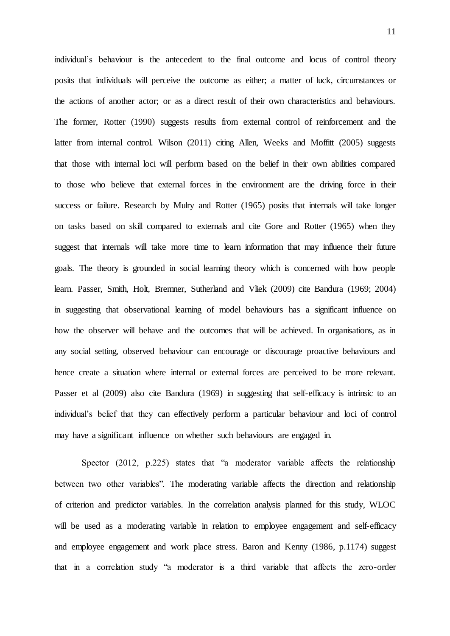individual's behaviour is the antecedent to the final outcome and locus of control theory posits that individuals will perceive the outcome as either; a matter of luck, circumstances or the actions of another actor; or as a direct result of their own characteristics and behaviours. The former, Rotter (1990) suggests results from external control of reinforcement and the latter from internal control. Wilson (2011) citing Allen, Weeks and Moffitt (2005) suggests that those with internal loci will perform based on the belief in their own abilities compared to those who believe that external forces in the environment are the driving force in their success or failure. Research by Mulry and Rotter (1965) posits that internals will take longer on tasks based on skill compared to externals and cite Gore and Rotter (1965) when they suggest that internals will take more time to learn information that may influence their future goals. The theory is grounded in social learning theory which is concerned with how people learn. Passer, Smith, Holt, Bremner, Sutherland and Vliek (2009) cite Bandura (1969; 2004) in suggesting that observational learning of model behaviours has a significant influence on how the observer will behave and the outcomes that will be achieved. In organisations, as in any social setting, observed behaviour can encourage or discourage proactive behaviours and hence create a situation where internal or external forces are perceived to be more relevant. Passer et al (2009) also cite Bandura (1969) in suggesting that self-efficacy is intrinsic to an individual's belief that they can effectively perform a particular behaviour and loci of control may have a significant influence on whether such behaviours are engaged in.

Spector (2012, p.225) states that "a moderator variable affects the relationship between two other variables". The moderating variable affects the direction and relationship of criterion and predictor variables. In the correlation analysis planned for this study, WLOC will be used as a moderating variable in relation to employee engagement and self-efficacy and employee engagement and work place stress. Baron and Kenny (1986, p.1174) suggest that in a correlation study "a moderator is a third variable that affects the zero-order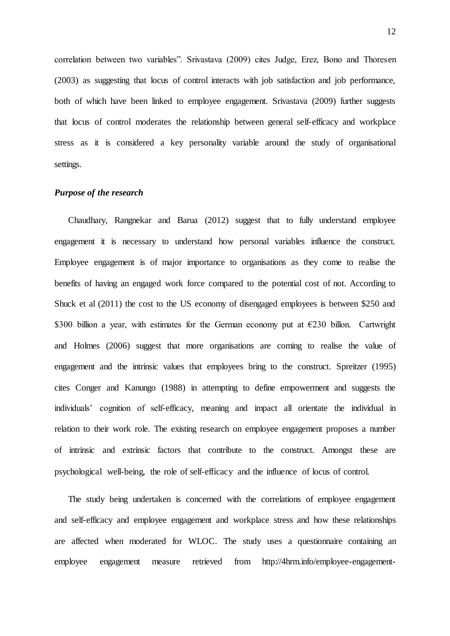correlation between two variables". Srivastava (2009) cites Judge, Erez, Bono and Thoresen (2003) as suggesting that locus of control interacts with job satisfaction and job performance, both of which have been linked to employee engagement. Srivastava (2009) further suggests that locus of control moderates the relationship between general self-efficacy and workplace stress as it is considered a key personality variable around the study of organisational settings.

### *Purpose of the research*

Chaudhary, Rangnekar and Barua (2012) suggest that to fully understand employee engagement it is necessary to understand how personal variables influence the construct. Employee engagement is of major importance to organisations as they come to realise the benefits of having an engaged work force compared to the potential cost of not. According to Shuck et al (2011) the cost to the US economy of disengaged employees is between \$250 and \$300 billion a year, with estimates for the German economy put at  $E$ 230 billon. Cartwright and Holmes (2006) suggest that more organisations are coming to realise the value of engagement and the intrinsic values that employees bring to the construct. Spreitzer (1995) cites Conger and Kanungo (1988) in attempting to define empowerment and suggests the individuals' cognition of self-efficacy, meaning and impact all orientate the individual in relation to their work role. The existing research on employee engagement proposes a number of intrinsic and extrinsic factors that contribute to the construct. Amongst these are psychological well-being, the role of self-efficacy and the influence of locus of control.

The study being undertaken is concerned with the correlations of employee engagement and self-efficacy and employee engagement and workplace stress and how these relationships are affected when moderated for WLOC. The study uses a questionnaire containing an employee engagement measure retrieved fro[m http://4hrm.info/employee-engagement-](http://4hrm.info/employee-engagement-questionnaire)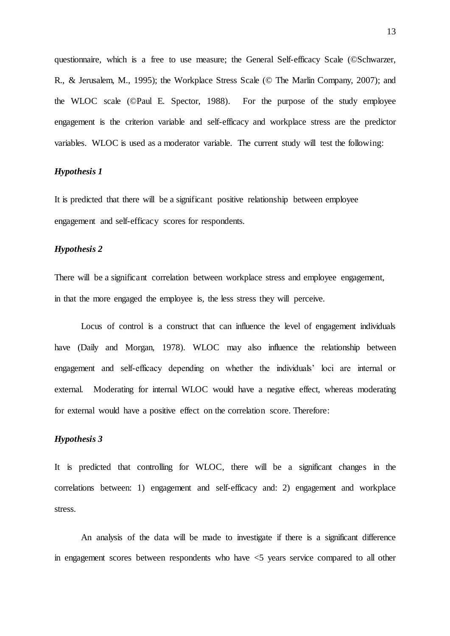[questionnaire,](http://4hrm.info/employee-engagement-questionnaire) which is a free to use measure; the General Self-efficacy Scale (©Schwarzer, R., & Jerusalem, M., 1995); the Workplace Stress Scale (© The Marlin Company, 2007); and the WLOC scale (©Paul E. Spector, 1988). For the purpose of the study employee engagement is the criterion variable and self-efficacy and workplace stress are the predictor variables. WLOC is used as a moderator variable. The current study will test the following:

## *Hypothesis 1*

It is predicted that there will be a significant positive relationship between employee engagement and self-efficacy scores for respondents.

### *Hypothesis 2*

There will be a significant correlation between workplace stress and employee engagement, in that the more engaged the employee is, the less stress they will perceive.

Locus of control is a construct that can influence the level of engagement individuals have (Daily and Morgan, 1978). WLOC may also influence the relationship between engagement and self-efficacy depending on whether the individuals' loci are internal or external. Moderating for internal WLOC would have a negative effect, whereas moderating for external would have a positive effect on the correlation score. Therefore:

## *Hypothesis 3*

It is predicted that controlling for WLOC, there will be a significant changes in the correlations between: 1) engagement and self-efficacy and: 2) engagement and workplace stress.

An analysis of the data will be made to investigate if there is a significant difference in engagement scores between respondents who have <5 years service compared to all other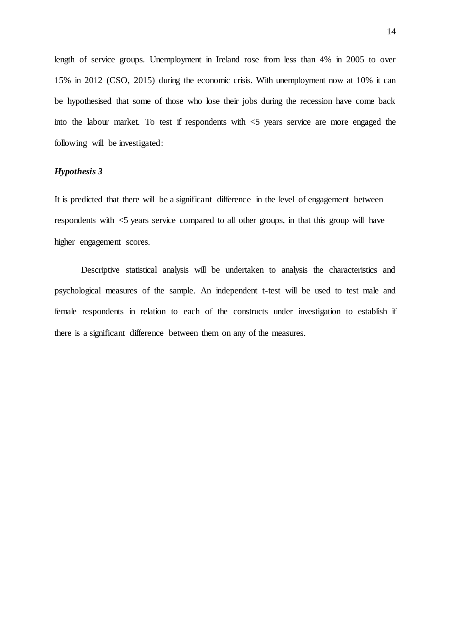length of service groups. Unemployment in Ireland rose from less than 4% in 2005 to over 15% in 2012 (CSO, 2015) during the economic crisis. With unemployment now at 10% it can be hypothesised that some of those who lose their jobs during the recession have come back into the labour market. To test if respondents with  $\leq$  years service are more engaged the following will be investigated:

## *Hypothesis 3*

It is predicted that there will be a significant difference in the level of engagement between respondents with <5 years service compared to all other groups, in that this group will have higher engagement scores.

Descriptive statistical analysis will be undertaken to analysis the characteristics and psychological measures of the sample. An independent t-test will be used to test male and female respondents in relation to each of the constructs under investigation to establish if there is a significant difference between them on any of the measures.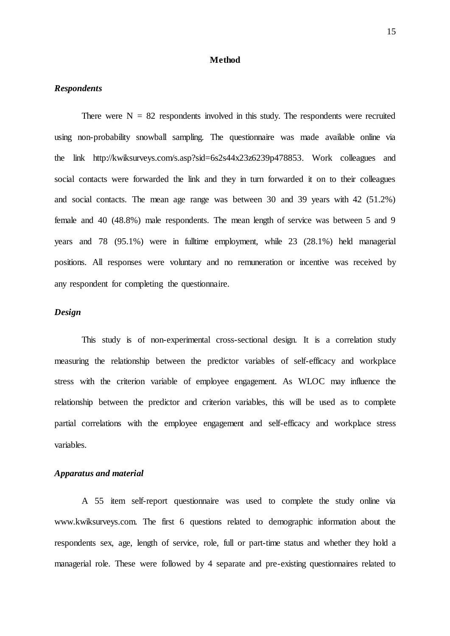#### **Method**

## *Respondents*

There were  $N = 82$  respondents involved in this study. The respondents were recruited using non-probability snowball sampling. The questionnaire was made available online via the link [http://kwiksurveys.com/s.asp?sid=6s2s44x23z6239p478853.](http://kwiksurveys.com/s.asp?sid=6s2s44x23z6239p478853) Work colleagues and social contacts were forwarded the link and they in turn forwarded it on to their colleagues and social contacts. The mean age range was between 30 and 39 years with 42 (51.2%) female and 40 (48.8%) male respondents. The mean length of service was between 5 and 9 years and 78 (95.1%) were in fulltime employment, while 23 (28.1%) held managerial positions. All responses were voluntary and no remuneration or incentive was received by any respondent for completing the questionnaire.

## *Design*

This study is of non-experimental cross-sectional design. It is a correlation study measuring the relationship between the predictor variables of self-efficacy and workplace stress with the criterion variable of employee engagement. As WLOC may influence the relationship between the predictor and criterion variables, this will be used as to complete partial correlations with the employee engagement and self-efficacy and workplace stress variables.

### *Apparatus and material*

A 55 item self-report questionnaire was used to complete the study online via www.kwiksurveys.com. The first 6 questions related to demographic information about the respondents sex, age, length of service, role, full or part-time status and whether they hold a managerial role. These were followed by 4 separate and pre-existing questionnaires related to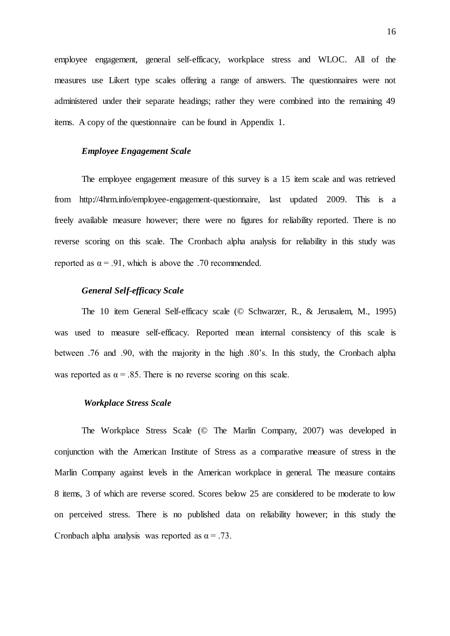employee engagement, general self-efficacy, workplace stress and WLOC. All of the measures use Likert type scales offering a range of answers. The questionnaires were not administered under their separate headings; rather they were combined into the remaining 49 items. A copy of the questionnaire can be found in Appendix 1.

#### *Employee Engagement Scale*

The employee engagement measure of this survey is a 15 item scale and was retrieved from [http://4hrm.info/employee-engagement-questionnaire, la](http://4hrm.info/employee-engagement-questionnaire)st updated 2009. This is a freely available measure however; there were no figures for reliability reported. There is no reverse scoring on this scale. The Cronbach alpha analysis for reliability in this study was reported as  $\alpha = .91$ , which is above the .70 recommended.

### *General Self-efficacy Scale*

The 10 item General Self-efficacy scale (© Schwarzer, R., & Jerusalem, M., 1995) was used to measure self-efficacy. Reported mean internal consistency of this scale is between .76 and .90, with the majority in the high .80's. In this study, the Cronbach alpha was reported as  $\alpha = .85$ . There is no reverse scoring on this scale.

#### *Workplace Stress Scale*

The Workplace Stress Scale (© The Marlin Company, 2007) was developed in conjunction with the American Institute of Stress as a comparative measure of stress in the Marlin Company against levels in the American workplace in general. The measure contains 8 items, 3 of which are reverse scored. Scores below 25 are considered to be moderate to low on perceived stress. There is no published data on reliability however; in this study the Cronbach alpha analysis was reported as  $\alpha = .73$ .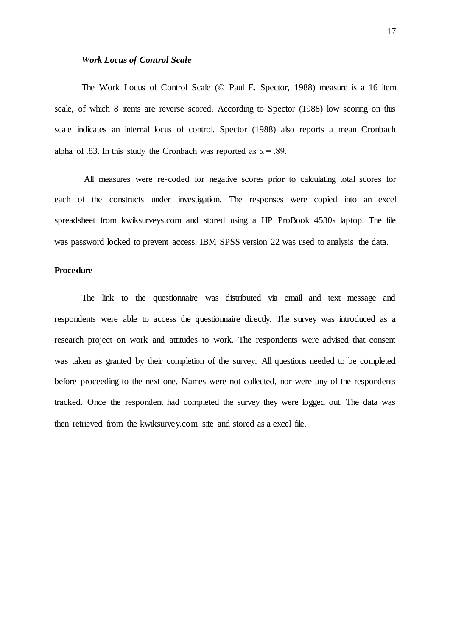#### *Work Locus of Control Scale*

The Work Locus of Control Scale (© Paul E. Spector, 1988) measure is a 16 item scale, of which 8 items are reverse scored. According to Spector (1988) low scoring on this scale indicates an internal locus of control. Spector (1988) also reports a mean Cronbach alpha of .83. In this study the Cronbach was reported as  $\alpha = .89$ .

All measures were re-coded for negative scores prior to calculating total scores for each of the constructs under investigation. The responses were copied into an excel spreadsheet from kwiksurveys.com and stored using a HP ProBook 4530s laptop. The file was password locked to prevent access. IBM SPSS version 22 was used to analysis the data.

## **Procedure**

The link to the questionnaire was distributed via email and text message and respondents were able to access the questionnaire directly. The survey was introduced as a research project on work and attitudes to work. The respondents were advised that consent was taken as granted by their completion of the survey. All questions needed to be completed before proceeding to the next one. Names were not collected, nor were any of the respondents tracked. Once the respondent had completed the survey they were logged out. The data was then retrieved from the kwiksurvey.com site and stored as a excel file.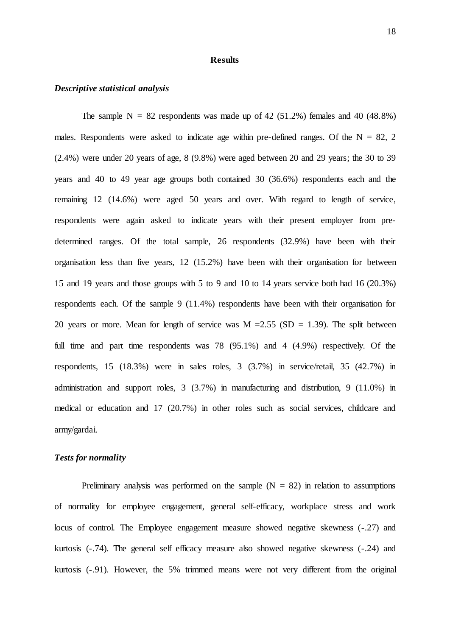#### **Results**

## *Descriptive statistical analysis*

The sample  $N = 82$  respondents was made up of 42 (51.2%) females and 40 (48.8%) males. Respondents were asked to indicate age within pre-defined ranges. Of the  $N = 82, 2$ (2.4%) were under 20 years of age, 8 (9.8%) were aged between 20 and 29 years; the 30 to 39 years and 40 to 49 year age groups both contained 30 (36.6%) respondents each and the remaining 12 (14.6%) were aged 50 years and over. With regard to length of service, respondents were again asked to indicate years with their present employer from predetermined ranges. Of the total sample, 26 respondents (32.9%) have been with their organisation less than five years, 12 (15.2%) have been with their organisation for between 15 and 19 years and those groups with 5 to 9 and 10 to 14 years service both had 16 (20.3%) respondents each. Of the sample 9 (11.4%) respondents have been with their organisation for 20 years or more. Mean for length of service was  $M = 2.55$  (SD = 1.39). The split between full time and part time respondents was 78 (95.1%) and 4 (4.9%) respectively. Of the respondents, 15 (18.3%) were in sales roles, 3 (3.7%) in service/retail, 35 (42.7%) in administration and support roles, 3 (3.7%) in manufacturing and distribution, 9 (11.0%) in medical or education and 17 (20.7%) in other roles such as social services, childcare and army/gardai.

#### *Tests for normality*

Preliminary analysis was performed on the sample  $(N = 82)$  in relation to assumptions of normality for employee engagement, general self-efficacy, workplace stress and work locus of control. The Employee engagement measure showed negative skewness (-.27) and kurtosis (-.74). The general self efficacy measure also showed negative skewness (-.24) and kurtosis (-.91). However, the 5% trimmed means were not very different from the original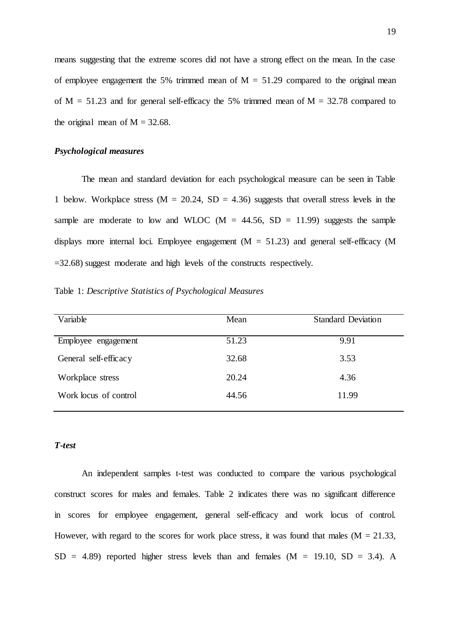means suggesting that the extreme scores did not have a strong effect on the mean. In the case of employee engagement the 5% trimmed mean of  $M = 51.29$  compared to the original mean of  $M = 51.23$  and for general self-efficacy the 5% trimmed mean of  $M = 32.78$  compared to the original mean of  $M = 32.68$ .

### *Psychological measures*

The mean and standard deviation for each psychological measure can be seen in Table 1 below. Workplace stress ( $M = 20.24$ ,  $SD = 4.36$ ) suggests that overall stress levels in the sample are moderate to low and WLOC ( $M = 44.56$ ,  $SD = 11.99$ ) suggests the sample displays more internal loci. Employee engagement  $(M = 51.23)$  and general self-efficacy (M =32.68) suggest moderate and high levels of the constructs respectively.

Table 1: *Descriptive Statistics of Psychological Measures*

| Variable              | Mean  | <b>Standard Deviation</b> |
|-----------------------|-------|---------------------------|
| Employee engagement   | 51.23 | 9.91                      |
| General self-efficacy | 32.68 | 3.53                      |
| Workplace stress      | 20.24 | 4.36                      |
| Work locus of control | 44.56 | 11.99                     |

## *T-test*

An independent samples t-test was conducted to compare the various psychological construct scores for males and females. Table 2 indicates there was no significant difference in scores for employee engagement, general self-efficacy and work locus of control. However, with regard to the scores for work place stress, it was found that males ( $M = 21.33$ ,  $SD = 4.89$  reported higher stress levels than and females  $(M = 19.10, SD = 3.4)$ . A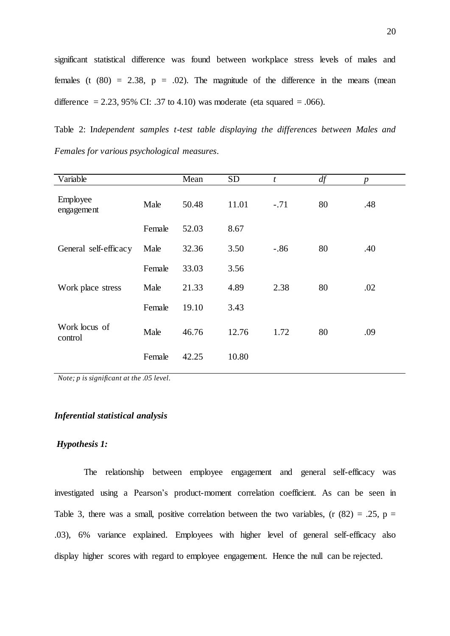significant statistical difference was found between workplace stress levels of males and females (t  $(80) = 2.38$ ,  $p = .02$ ). The magnitude of the difference in the means (mean difference  $= 2.23, 95\%$  CI: .37 to 4.10) was moderate (eta squared  $= .066$ ).

Table 2: I*ndependent samples t-test table displaying the differences between Males and Females for various psychological measures*.

| Variable                 |        | Mean  | <b>SD</b> | t      | df | $\boldsymbol{p}$ |
|--------------------------|--------|-------|-----------|--------|----|------------------|
| Employee<br>engagement   | Male   | 50.48 | 11.01     | $-.71$ | 80 | .48              |
|                          | Female | 52.03 | 8.67      |        |    |                  |
| General self-efficacy    | Male   | 32.36 | 3.50      | $-.86$ | 80 | .40              |
|                          | Female | 33.03 | 3.56      |        |    |                  |
| Work place stress        | Male   | 21.33 | 4.89      | 2.38   | 80 | .02              |
|                          | Female | 19.10 | 3.43      |        |    |                  |
| Work locus of<br>control | Male   | 46.76 | 12.76     | 1.72   | 80 | .09              |
|                          | Female | 42.25 | 10.80     |        |    |                  |

*Note; p is significant at the .05 level.*

#### *Inferential statistical analysis*

### *Hypothesis 1:*

The relationship between employee engagement and general self-efficacy was investigated using a Pearson's product-moment correlation coefficient. As can be seen in Table 3, there was a small, positive correlation between the two variables,  $(r (82) = .25, p = )$ .03), 6% variance explained. Employees with higher level of general self-efficacy also display higher scores with regard to employee engagement. Hence the null can be rejected.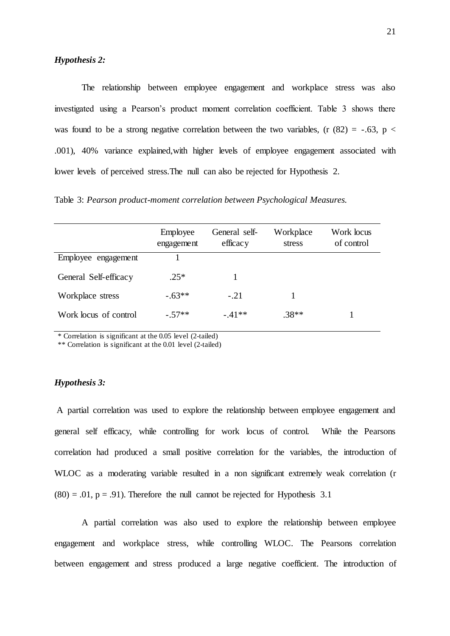The relationship between employee engagement and workplace stress was also investigated using a Pearson's product moment correlation coefficient. Table 3 shows there was found to be a strong negative correlation between the two variables, (r  $(82) = -.63$ , p < .001), 40% variance explained,with higher levels of employee engagement associated with lower levels of perceived stress.The null can also be rejected for Hypothesis 2.

Table 3: *Pearson product-moment correlation between Psychological Measures.*

|                       | Employee<br>engagement | General self-<br>efficacy | Workplace<br>stress | Work locus<br>of control |
|-----------------------|------------------------|---------------------------|---------------------|--------------------------|
| Employee engagement   |                        |                           |                     |                          |
| General Self-efficacy | $.25*$                 |                           |                     |                          |
| Workplace stress      | $-.63**$               | $-.21$                    |                     |                          |
| Work locus of control | $-.57**$               | $-.41**$                  | $.38**$             |                          |

\* Correlation is significant at the 0.05 level (2-tailed)

\*\* Correlation is significant at the 0.01 level (2-tailed)

## *Hypothesis 3:*

A partial correlation was used to explore the relationship between employee engagement and general self efficacy, while controlling for work locus of control. While the Pearsons correlation had produced a small positive correlation for the variables, the introduction of WLOC as a moderating variable resulted in a non significant extremely weak correlation (r  $(80) = .01$ ,  $p = .91$ ). Therefore the null cannot be rejected for Hypothesis 3.1

A partial correlation was also used to explore the relationship between employee engagement and workplace stress, while controlling WLOC. The Pearsons correlation between engagement and stress produced a large negative coefficient. The introduction of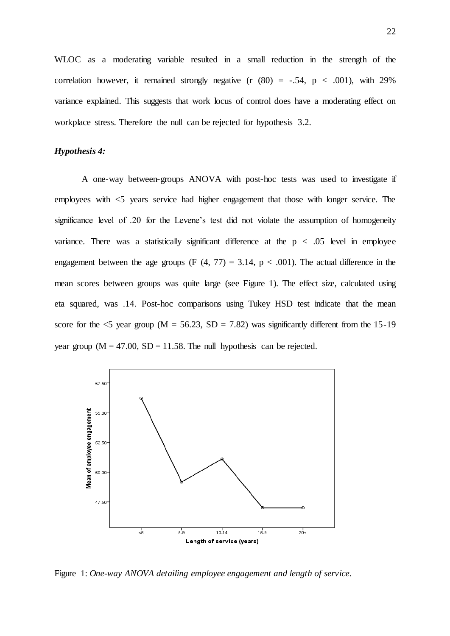WLOC as a moderating variable resulted in a small reduction in the strength of the correlation however, it remained strongly negative  $(r (80) = -.54, p < .001)$ , with 29% variance explained. This suggests that work locus of control does have a moderating effect on workplace stress. Therefore the null can be rejected for hypothesis 3.2.

## *Hypothesis 4:*

A one-way between-groups ANOVA with post-hoc tests was used to investigate if employees with <5 years service had higher engagement that those with longer service. The significance level of .20 for the Levene's test did not violate the assumption of homogeneity variance. There was a statistically significant difference at the  $p < .05$  level in employee engagement between the age groups (F  $(4, 77) = 3.14$ , p < .001). The actual difference in the mean scores between groups was quite large (see Figure 1). The effect size, calculated using eta squared, was .14. Post-hoc comparisons using Tukey HSD test indicate that the mean score for the  $\leq$ 5 year group (M = 56.23, SD = 7.82) was significantly different from the 15-19 year group  $(M = 47.00, SD = 11.58$ . The null hypothesis can be rejected.



Figure 1: *One-way ANOVA detailing employee engagement and length of service.*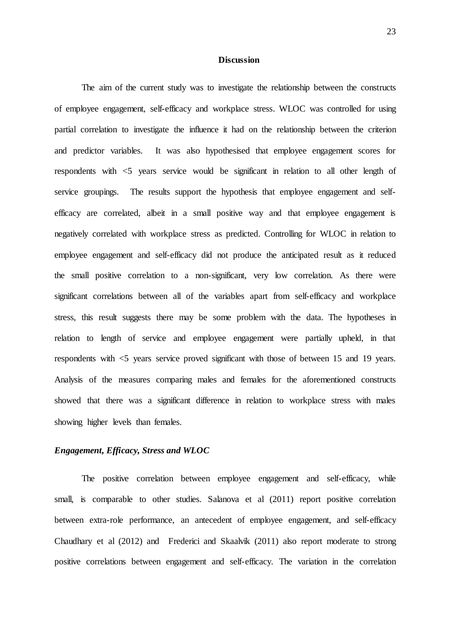#### **Discussion**

The aim of the current study was to investigate the relationship between the constructs of employee engagement, self-efficacy and workplace stress. WLOC was controlled for using partial correlation to investigate the influence it had on the relationship between the criterion and predictor variables. It was also hypothesised that employee engagement scores for respondents with <5 years service would be significant in relation to all other length of service groupings. The results support the hypothesis that employee engagement and selfefficacy are correlated, albeit in a small positive way and that employee engagement is negatively correlated with workplace stress as predicted. Controlling for WLOC in relation to employee engagement and self-efficacy did not produce the anticipated result as it reduced the small positive correlation to a non-significant, very low correlation. As there were significant correlations between all of the variables apart from self-efficacy and workplace stress, this result suggests there may be some problem with the data. The hypotheses in relation to length of service and employee engagement were partially upheld, in that respondents with <5 years service proved significant with those of between 15 and 19 years. Analysis of the measures comparing males and females for the aforementioned constructs showed that there was a significant difference in relation to workplace stress with males showing higher levels than females.

## *Engagement, Efficacy, Stress and WLOC*

The positive correlation between employee engagement and self-efficacy, while small, is comparable to other studies. Salanova et al (2011) report positive correlation between extra-role performance, an antecedent of employee engagement, and self-efficacy Chaudhary et al (2012) and Frederici and Skaalvik (2011) also report moderate to strong positive correlations between engagement and self-efficacy. The variation in the correlation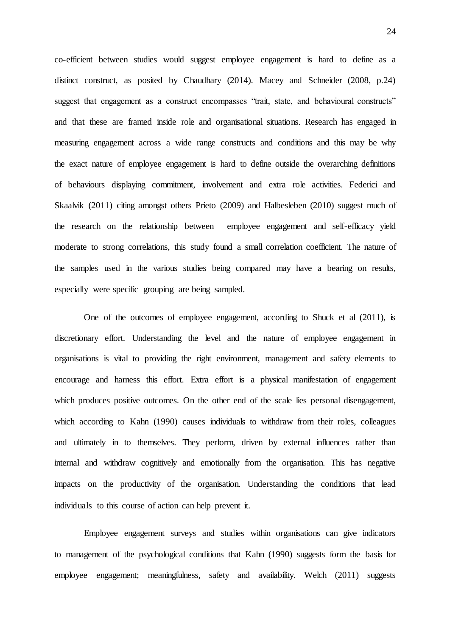co-efficient between studies would suggest employee engagement is hard to define as a distinct construct, as posited by Chaudhary (2014). Macey and Schneider (2008, p.24) suggest that engagement as a construct encompasses "trait, state, and behavioural constructs" and that these are framed inside role and organisational situations. Research has engaged in measuring engagement across a wide range constructs and conditions and this may be why the exact nature of employee engagement is hard to define outside the overarching definitions of behaviours displaying commitment, involvement and extra role activities. Federici and Skaalvik (2011) citing amongst others Prieto (2009) and Halbesleben (2010) suggest much of the research on the relationship between employee engagement and self-efficacy yield moderate to strong correlations, this study found a small correlation coefficient. The nature of the samples used in the various studies being compared may have a bearing on results, especially were specific grouping are being sampled.

One of the outcomes of employee engagement, according to Shuck et al (2011), is discretionary effort. Understanding the level and the nature of employee engagement in organisations is vital to providing the right environment, management and safety elements to encourage and harness this effort. Extra effort is a physical manifestation of engagement which produces positive outcomes. On the other end of the scale lies personal disengagement, which according to Kahn (1990) causes individuals to withdraw from their roles, colleagues and ultimately in to themselves. They perform, driven by external influences rather than internal and withdraw cognitively and emotionally from the organisation. This has negative impacts on the productivity of the organisation. Understanding the conditions that lead individuals to this course of action can help prevent it.

Employee engagement surveys and studies within organisations can give indicators to management of the psychological conditions that Kahn (1990) suggests form the basis for employee engagement; meaningfulness, safety and availability. Welch (2011) suggests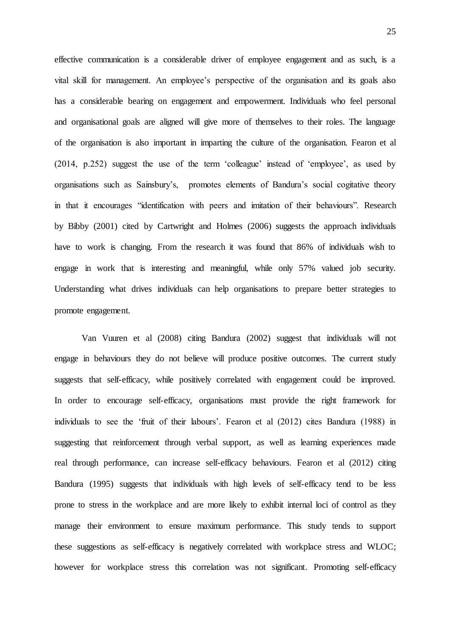effective communication is a considerable driver of employee engagement and as such, is a vital skill for management. An employee's perspective of the organisation and its goals also has a considerable bearing on engagement and empowerment. Individuals who feel personal and organisational goals are aligned will give more of themselves to their roles. The language of the organisation is also important in imparting the culture of the organisation. Fearon et al (2014, p.252) suggest the use of the term 'colleague' instead of 'employee', as used by organisations such as Sainsbury's, promotes elements of Bandura's social cogitative theory in that it encourages "identification with peers and imitation of their behaviours". Research by Bibby (2001) cited by Cartwright and Holmes (2006) suggests the approach individuals have to work is changing. From the research it was found that 86% of individuals wish to engage in work that is interesting and meaningful, while only 57% valued job security. Understanding what drives individuals can help organisations to prepare better strategies to promote engagement.

Van Vuuren et al (2008) citing Bandura (2002) suggest that individuals will not engage in behaviours they do not believe will produce positive outcomes. The current study suggests that self-efficacy, while positively correlated with engagement could be improved. In order to encourage self-efficacy, organisations must provide the right framework for individuals to see the 'fruit of their labours'. Fearon et al (2012) cites Bandura (1988) in suggesting that reinforcement through verbal support, as well as learning experiences made real through performance, can increase self-efficacy behaviours. Fearon et al (2012) citing Bandura (1995) suggests that individuals with high levels of self-efficacy tend to be less prone to stress in the workplace and are more likely to exhibit internal loci of control as they manage their environment to ensure maximum performance. This study tends to support these suggestions as self-efficacy is negatively correlated with workplace stress and WLOC; however for workplace stress this correlation was not significant. Promoting self-efficacy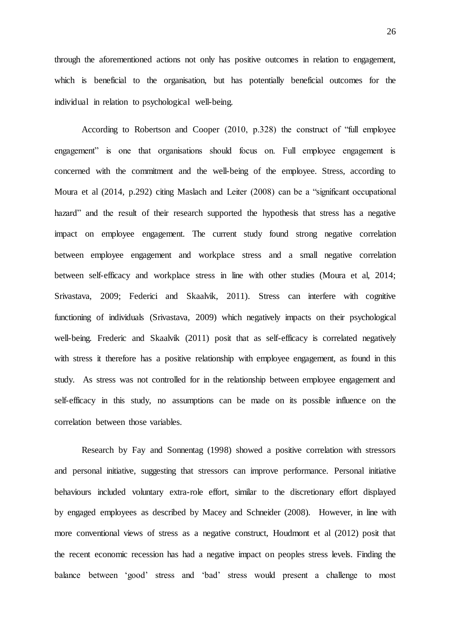through the aforementioned actions not only has positive outcomes in relation to engagement, which is beneficial to the organisation, but has potentially beneficial outcomes for the individual in relation to psychological well-being.

According to Robertson and Cooper (2010, p.328) the construct of "full employee engagement" is one that organisations should focus on. Full employee engagement is concerned with the commitment and the well-being of the employee. Stress, according to Moura et al (2014, p.292) citing Maslach and Leiter (2008) can be a "significant occupational hazard" and the result of their research supported the hypothesis that stress has a negative impact on employee engagement. The current study found strong negative correlation between employee engagement and workplace stress and a small negative correlation between self-efficacy and workplace stress in line with other studies (Moura et al, 2014; Srivastava, 2009; Federici and Skaalvik, 2011). Stress can interfere with cognitive functioning of individuals (Srivastava, 2009) which negatively impacts on their psychological well-being. Frederic and Skaalvik (2011) posit that as self-efficacy is correlated negatively with stress it therefore has a positive relationship with employee engagement, as found in this study. As stress was not controlled for in the relationship between employee engagement and self-efficacy in this study, no assumptions can be made on its possible influence on the correlation between those variables.

Research by Fay and Sonnentag (1998) showed a positive correlation with stressors and personal initiative, suggesting that stressors can improve performance. Personal initiative behaviours included voluntary extra-role effort, similar to the discretionary effort displayed by engaged employees as described by Macey and Schneider (2008). However, in line with more conventional views of stress as a negative construct, Houdmont et al (2012) posit that the recent economic recession has had a negative impact on peoples stress levels. Finding the balance between 'good' stress and 'bad' stress would present a challenge to most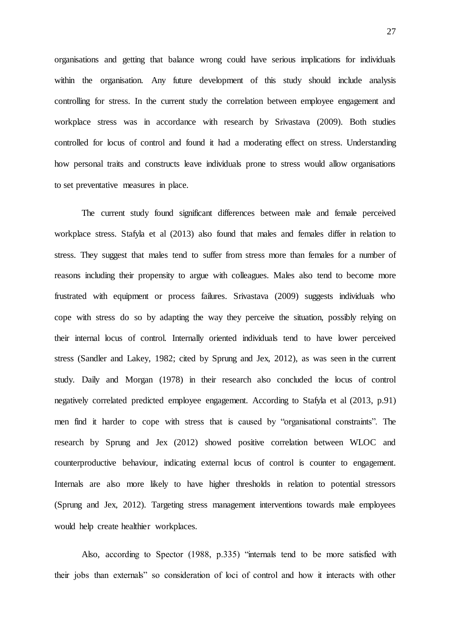organisations and getting that balance wrong could have serious implications for individuals within the organisation. Any future development of this study should include analysis controlling for stress. In the current study the correlation between employee engagement and workplace stress was in accordance with research by Srivastava (2009). Both studies controlled for locus of control and found it had a moderating effect on stress. Understanding how personal traits and constructs leave individuals prone to stress would allow organisations to set preventative measures in place.

The current study found significant differences between male and female perceived workplace stress. Stafyla et al (2013) also found that males and females differ in relation to stress. They suggest that males tend to suffer from stress more than females for a number of reasons including their propensity to argue with colleagues. Males also tend to become more frustrated with equipment or process failures. Srivastava (2009) suggests individuals who cope with stress do so by adapting the way they perceive the situation, possibly relying on their internal locus of control. Internally oriented individuals tend to have lower perceived stress (Sandler and Lakey, 1982; cited by Sprung and Jex, 2012), as was seen in the current study. Daily and Morgan (1978) in their research also concluded the locus of control negatively correlated predicted employee engagement. According to Stafyla et al (2013, p.91) men find it harder to cope with stress that is caused by "organisational constraints". The research by Sprung and Jex (2012) showed positive correlation between WLOC and counterproductive behaviour, indicating external locus of control is counter to engagement. Internals are also more likely to have higher thresholds in relation to potential stressors (Sprung and Jex, 2012). Targeting stress management interventions towards male employees would help create healthier workplaces.

Also, according to Spector (1988, p.335) "internals tend to be more satisfied with their jobs than externals" so consideration of loci of control and how it interacts with other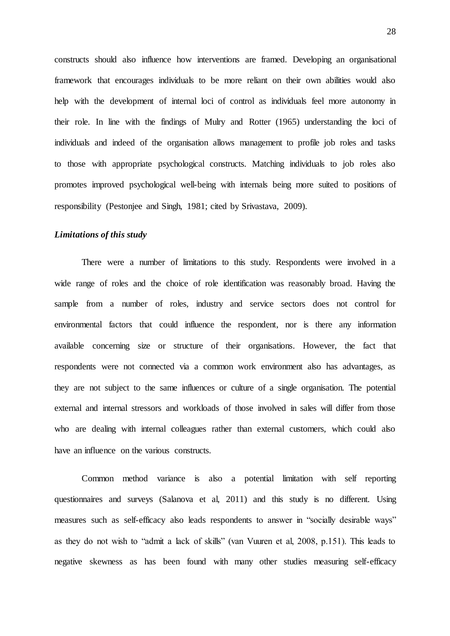constructs should also influence how interventions are framed. Developing an organisational framework that encourages individuals to be more reliant on their own abilities would also help with the development of internal loci of control as individuals feel more autonomy in their role. In line with the findings of Mulry and Rotter (1965) understanding the loci of individuals and indeed of the organisation allows management to profile job roles and tasks to those with appropriate psychological constructs. Matching individuals to job roles also promotes improved psychological well-being with internals being more suited to positions of responsibility (Pestonjee and Singh, 1981; cited by Srivastava, 2009).

## *Limitations of this study*

There were a number of limitations to this study. Respondents were involved in a wide range of roles and the choice of role identification was reasonably broad. Having the sample from a number of roles, industry and service sectors does not control for environmental factors that could influence the respondent, nor is there any information available concerning size or structure of their organisations. However, the fact that respondents were not connected via a common work environment also has advantages, as they are not subject to the same influences or culture of a single organisation. The potential external and internal stressors and workloads of those involved in sales will differ from those who are dealing with internal colleagues rather than external customers, which could also have an influence on the various constructs.

Common method variance is also a potential limitation with self reporting questionnaires and surveys (Salanova et al, 2011) and this study is no different. Using measures such as self-efficacy also leads respondents to answer in "socially desirable ways" as they do not wish to "admit a lack of skills" (van Vuuren et al, 2008, p.151). This leads to negative skewness as has been found with many other studies measuring self-efficacy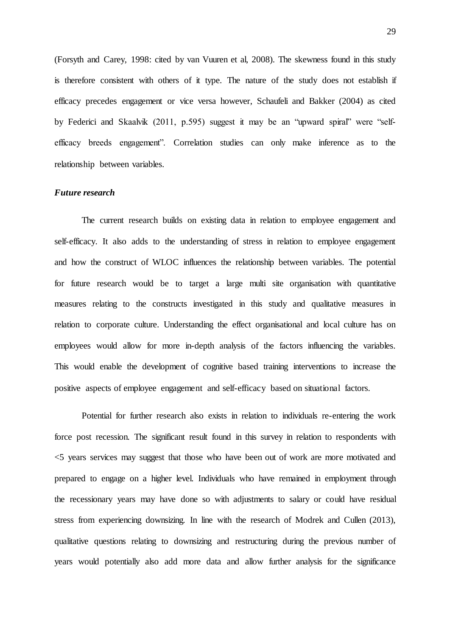(Forsyth and Carey, 1998: cited by van Vuuren et al, 2008). The skewness found in this study is therefore consistent with others of it type. The nature of the study does not establish if efficacy precedes engagement or vice versa however, Schaufeli and Bakker (2004) as cited by Federici and Skaalvik (2011, p.595) suggest it may be an "upward spiral" were "selfefficacy breeds engagement". Correlation studies can only make inference as to the relationship between variables.

#### *Future research*

The current research builds on existing data in relation to employee engagement and self-efficacy. It also adds to the understanding of stress in relation to employee engagement and how the construct of WLOC influences the relationship between variables. The potential for future research would be to target a large multi site organisation with quantitative measures relating to the constructs investigated in this study and qualitative measures in relation to corporate culture. Understanding the effect organisational and local culture has on employees would allow for more in-depth analysis of the factors influencing the variables. This would enable the development of cognitive based training interventions to increase the positive aspects of employee engagement and self-efficacy based on situational factors.

Potential for further research also exists in relation to individuals re-entering the work force post recession. The significant result found in this survey in relation to respondents with <5 years services may suggest that those who have been out of work are more motivated and prepared to engage on a higher level. Individuals who have remained in employment through the recessionary years may have done so with adjustments to salary or could have residual stress from experiencing downsizing. In line with the research of Modrek and Cullen (2013), qualitative questions relating to downsizing and restructuring during the previous number of years would potentially also add more data and allow further analysis for the significance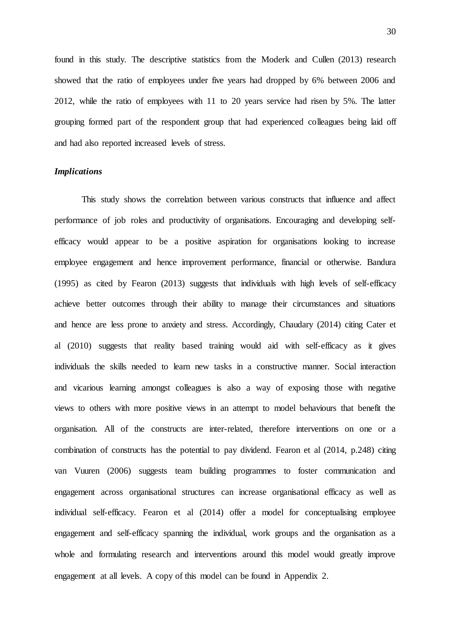found in this study. The descriptive statistics from the Moderk and Cullen (2013) research showed that the ratio of employees under five years had dropped by 6% between 2006 and 2012, while the ratio of employees with 11 to 20 years service had risen by 5%. The latter grouping formed part of the respondent group that had experienced colleagues being laid off and had also reported increased levels of stress.

### *Implications*

This study shows the correlation between various constructs that influence and affect performance of job roles and productivity of organisations. Encouraging and developing selfefficacy would appear to be a positive aspiration for organisations looking to increase employee engagement and hence improvement performance, financial or otherwise. Bandura (1995) as cited by Fearon (2013) suggests that individuals with high levels of self-efficacy achieve better outcomes through their ability to manage their circumstances and situations and hence are less prone to anxiety and stress. Accordingly, Chaudary (2014) citing Cater et al (2010) suggests that reality based training would aid with self-efficacy as it gives individuals the skills needed to learn new tasks in a constructive manner. Social interaction and vicarious learning amongst colleagues is also a way of exposing those with negative views to others with more positive views in an attempt to model behaviours that benefit the organisation. All of the constructs are inter-related, therefore interventions on one or a combination of constructs has the potential to pay dividend. Fearon et al (2014, p.248) citing van Vuuren (2006) suggests team building programmes to foster communication and engagement across organisational structures can increase organisational efficacy as well as individual self-efficacy. Fearon et al (2014) offer a model for conceptualising employee engagement and self-efficacy spanning the individual, work groups and the organisation as a whole and formulating research and interventions around this model would greatly improve engagement at all levels. A copy of this model can be found in Appendix 2.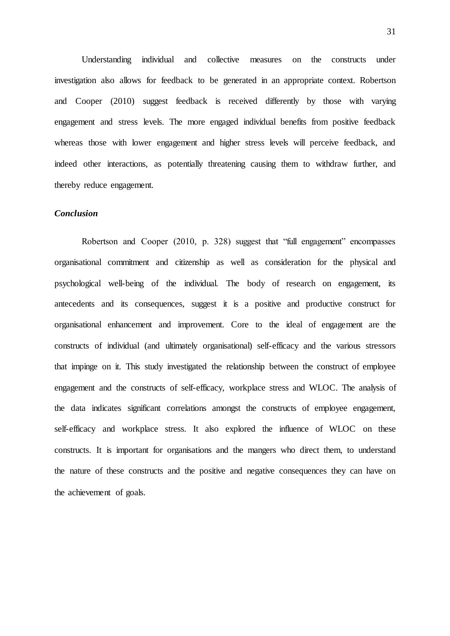Understanding individual and collective measures on the constructs under investigation also allows for feedback to be generated in an appropriate context. Robertson and Cooper (2010) suggest feedback is received differently by those with varying engagement and stress levels. The more engaged individual benefits from positive feedback whereas those with lower engagement and higher stress levels will perceive feedback, and indeed other interactions, as potentially threatening causing them to withdraw further, and thereby reduce engagement.

## *Conclusion*

Robertson and Cooper (2010, p. 328) suggest that "full engagement" encompasses organisational commitment and citizenship as well as consideration for the physical and psychological well-being of the individual. The body of research on engagement, its antecedents and its consequences, suggest it is a positive and productive construct for organisational enhancement and improvement. Core to the ideal of engagement are the constructs of individual (and ultimately organisational) self-efficacy and the various stressors that impinge on it. This study investigated the relationship between the construct of employee engagement and the constructs of self-efficacy, workplace stress and WLOC. The analysis of the data indicates significant correlations amongst the constructs of employee engagement, self-efficacy and workplace stress. It also explored the influence of WLOC on these constructs. It is important for organisations and the mangers who direct them, to understand the nature of these constructs and the positive and negative consequences they can have on the achievement of goals.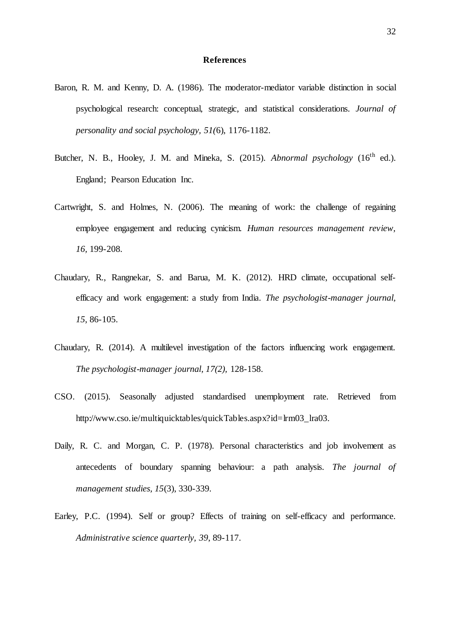#### **References**

- Baron, R. M. and Kenny, D. A. (1986). The moderator-mediator variable distinction in social psychological research: conceptual, strategic, and statistical considerations. *Journal of personality and social psychology, 51(*6), 1176-1182.
- Butcher, N. B., Hooley, J. M. and Mineka, S.  $(2015)$ . *Abnormal psychology*  $(16<sup>th</sup>$  ed.). England; Pearson Education Inc.
- Cartwright, S. and Holmes, N. (2006). The meaning of work: the challenge of regaining employee engagement and reducing cynicism. *Human resources management review, 16,* 199-208.
- Chaudary, R., Rangnekar, S. and Barua, M. K. (2012). HRD climate, occupational selfefficacy and work engagement: a study from India. *The psychologist-manager journal, 15*, 86-105.
- Chaudary, R. (2014). A multilevel investigation of the factors influencing work engagement. *The psychologist-manager journal, 17(2),* 128-158.
- CSO. (2015). Seasonally adjusted standardised unemployment rate. Retrieved from http://www.cso.ie/multiquicktables/quickTables.aspx?id=lrm03\_lra03.
- Daily, R. C. and Morgan, C. P. (1978). Personal characteristics and job involvement as antecedents of boundary spanning behaviour: a path analysis. *The journal of management studies, 15*(3), 330-339.
- Earley, P.C. (1994). Self or group? Effects of training on self-efficacy and performance. *Administrative science quarterly, 39*, 89-117.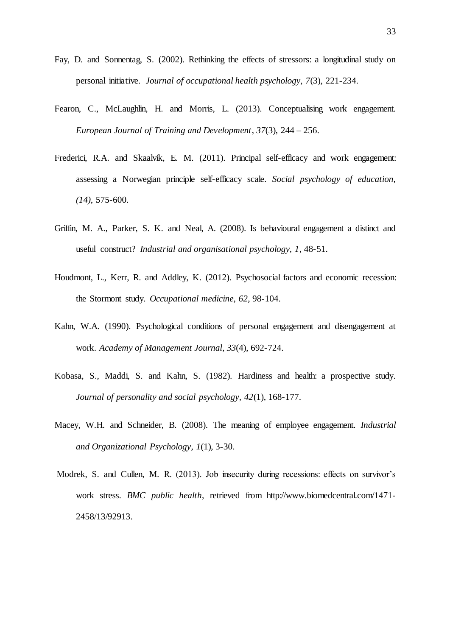- Fay, D. and Sonnentag, S. (2002). Rethinking the effects of stressors: a longitudinal study on personal initiative. *Journal of occupational health psychology, 7*(3), 221-234.
- Fearon, C., McLaughlin, H. and Morris, L. (2013). Conceptualising work engagement. *European Journal of Training and Development*, *37*(3), 244 – 256.
- Frederici, R.A. and Skaalvik, E. M. (2011). Principal self-efficacy and work engagement: assessing a Norwegian principle self-efficacy scale. *Social psychology of education, (14)*, 575-600.
- Griffin, M. A., Parker, S. K. and Neal, A. (2008). Is behavioural engagement a distinct and useful construct? *Industrial and organisational psychology, 1*, 48-51.
- Houdmont, L., Kerr, R. and Addley, K. (2012). Psychosocial factors and economic recession: the Stormont study. *Occupational medicine, 62*, 98-104.
- Kahn, W.A. (1990). Psychological conditions of personal engagement and disengagement at work. *Academy of Management Journal*, *33*(4), 692-724.
- Kobasa, S., Maddi, S. and Kahn, S. (1982). Hardiness and health: a prospective study. *Journal of personality and social psychology, 42*(1), 168-177.
- Macey, W.H. and Schneider, B. (2008). The meaning of employee engagement. *Industrial and Organizational Psychology*, *1*(1), 3-30.
- Modrek, S. and Cullen, M. R. (2013). Job insecurity during recessions: effects on survivor's work stress. *BMC public health*, retrieved fro[m http://www.biomedcentral.com/1471-](http://www.biomedcentral.com/1471-2458/13/92913) [2458/13/92913.](http://www.biomedcentral.com/1471-2458/13/92913)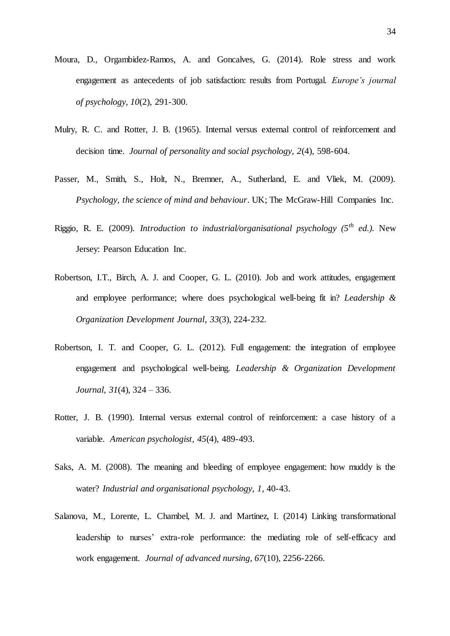- Moura, D., Orgambidez-Ramos, A. and Goncalves, G. (2014). Role stress and work engagement as antecedents of job satisfaction: results from Portugal. *Europe's journal of psychology, 10*(2), 291-300.
- Mulry, R. C. and Rotter, J. B. (1965). Internal versus external control of reinforcement and decision time. *Journal of personality and social psychology, 2*(4), 598-604.
- Passer, M., Smith, S., Holt, N., Bremner, A., Sutherland, E. and Vliek, M. (2009). *Psychology, the science of mind and behaviour*. UK; The McGraw-Hill Companies Inc.
- Riggio, R. E. (2009). *Introduction to industrial/organisational psychology (5th ed.).* New Jersey: Pearson Education Inc.
- Robertson, I.T., Birch, A. J. and Cooper, G. L. (2010). Job and work attitudes, engagement and employee performance; where does psychological well-being fit in? *Leadership & Organization Development Journal*, *33*(3), 224-232*.*
- Robertson, I. T. and Cooper, G. L. (2012). Full engagement: the integration of employee engagement and psychological well-being. *Leadership & Organization Development Journal*, *31*(4), 324 – 336.
- Rotter, J. B. (1990). Internal versus external control of reinforcement: a case history of a variable. *American psychologist, 45*(4), 489-493.
- Saks, A. M. (2008). The meaning and bleeding of employee engagement: how muddy is the water? *Industrial and organisational psychology, 1*, 40-43.
- Salanova, M., Lorente, L. Chambel, M. J. and Martinez, I. (2014) Linking transformational leadership to nurses' extra-role performance: the mediating role of self-efficacy and work engagement. *Journal of advanced nursing, 67*(10), 2256-2266.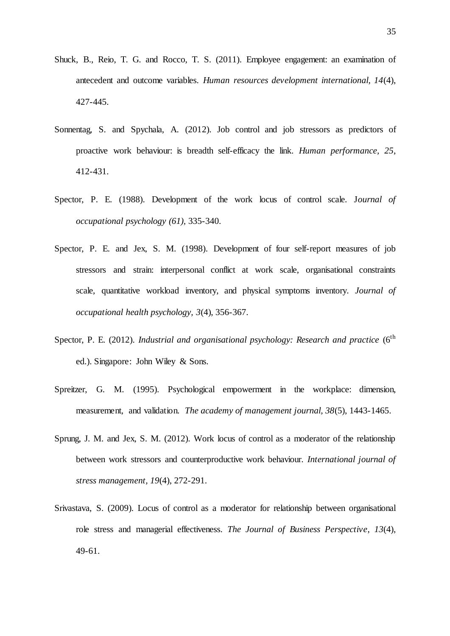- Shuck, B., Reio, T. G. and Rocco, T. S. (2011). Employee engagement: an examination of antecedent and outcome variables. *Human resources development international, 14*(4), 427-445.
- Sonnentag, S. and Spychala, A. (2012). Job control and job stressors as predictors of proactive work behaviour: is breadth self-efficacy the link. *Human performance, 25*, 412-431.
- Spector, P. E. (1988). Development of the work locus of control scale. J*ournal of occupational psychology (61),* 335-340.
- Spector, P. E. and Jex, S. M. (1998). Development of four self-report measures of job stressors and strain: interpersonal conflict at work scale, organisational constraints scale, quantitative workload inventory, and physical symptoms inventory. *Journal of occupational health psychology, 3*(4), 356-367.
- Spector, P. E. (2012). *Industrial and organisational psychology: Research and practice* (6<sup>th</sup> ed.). Singapore: John Wiley & Sons.
- Spreitzer, G. M. (1995). Psychological empowerment in the workplace: dimension, measurement, and validation. *The academy of management journal, 38*(5), 1443-1465.
- Sprung, J. M. and Jex, S. M. (2012). Work locus of control as a moderator of the relationship between work stressors and counterproductive work behaviour. *International journal of stress management, 19*(4), 272-291.
- Srivastava, S. (2009). Locus of control as a moderator for relationship between organisational role stress and managerial effectiveness. *The Journal of Business Perspective*, *13*(4), 49-61.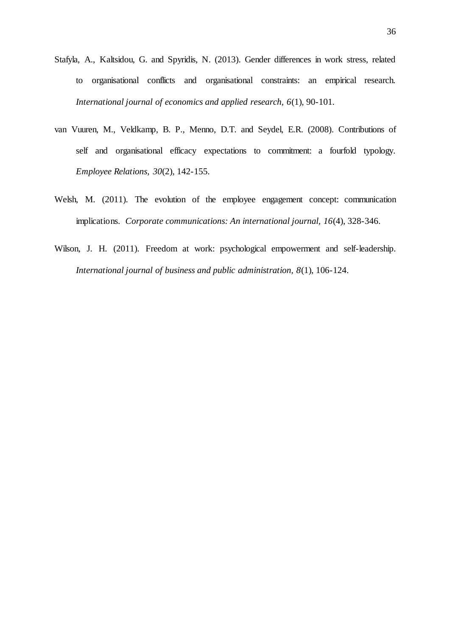- Stafyla, A., Kaltsidou, G. and Spyridis, N. (2013). Gender differences in work stress, related to organisational conflicts and organisational constraints: an empirical research. *International journal of economics and applied research, 6*(1), 90-101.
- van Vuuren, M., Veldkamp, B. P., Menno, D.T. and Seydel, E.R. (2008). Contributions of self and organisational efficacy expectations to commitment: a fourfold typology. *Employee Relations, 30*(2), 142-155.
- Welsh, M. (2011). The evolution of the employee engagement concept: communication implications. *Corporate communications: An international journal, 16*(4), 328-346.
- Wilson, J. H. (2011). Freedom at work: psychological empowerment and self-leadership. *International journal of business and public administration, 8*(1), 106-124.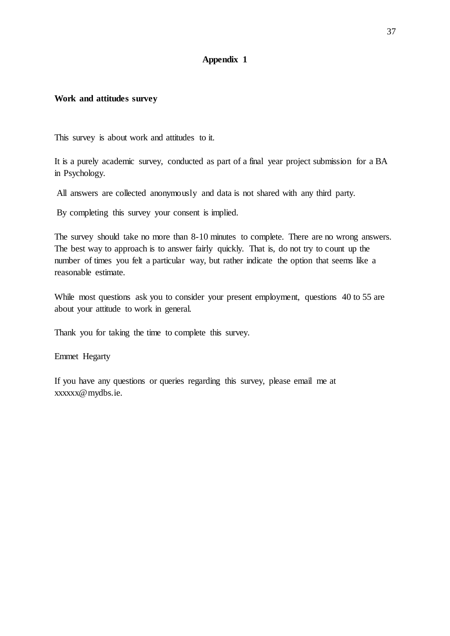## **Appendix 1**

### **Work and attitudes survey**

This survey is about work and attitudes to it.

It is a purely academic survey, conducted as part of a final year project submission for a BA in Psychology.

All answers are collected anonymously and data is not shared with any third party.

By completing this survey your consent is implied.

The survey should take no more than 8-10 minutes to complete. There are no wrong answers. The best way to approach is to answer fairly quickly. That is, do not try to count up the number of times you felt a particular way, but rather indicate the option that seems like a reasonable estimate.

While most questions ask you to consider your present employment, questions 40 to 55 are about your attitude to work in general.

Thank you for taking the time to complete this survey.

Emmet Hegarty

If you have any questions or queries regarding this survey, please email me at xxxxxx@mydbs.ie.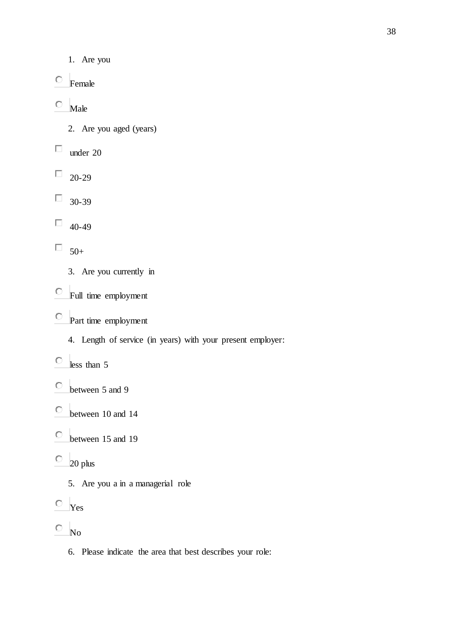- 1. Are you
- $\circ$  Female
- 0 Male
	- 2. Are you aged (years)
- $\Box$ under 20
- $\Box$  20-29
- 30-39  $\Box$
- $\Box$ 40-49
- $\Box$  50+
	- 3. Are you currently in
- Full time employment
- Part time employment
	- 4. Length of service (in years) with your present employer:
- $\circ$  less than 5
- between 5 and 9
- $\mathbb{O}^$ between 10 and 14
- $\bigcirc$ between 15 and 19
- $\degree$  20 plus
	- 5. Are you a in a managerial role
- $\circ$  Yes
- $\hfill\ensuremath{\circ}\hfill$   $\hfill\ensuremath{\mathsf{No}}$ 
	- 6. Please indicate the area that best describes your role: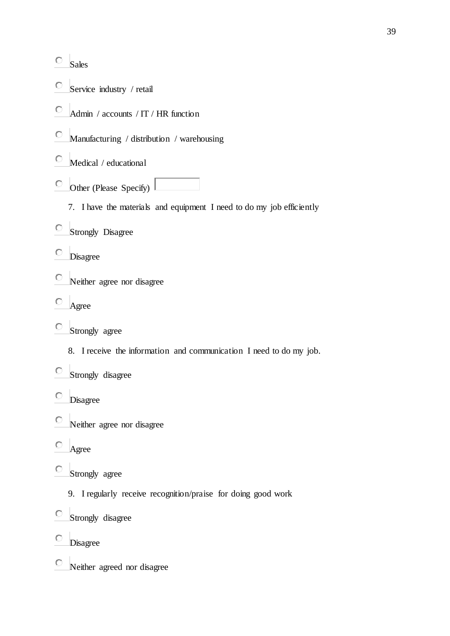- $\overline{\circ}$  Sales
- О. Service industry / retail
- О. Admin / accounts / IT / HR function
- $\circ$ Manufacturing / distribution / warehousing
- $\circ$  Medical / educational
- $\circ$  Other (Please Specify)
	- 7. I have the materials and equipment I need to do my job efficiently
- Strongly Disagree
- Disagree
- Neither agree nor disagree
- 0. Agree
- $\bigcirc$ Strongly agree
	- 8. I receive the information and communication I need to do my job.
- Strongly disagree
- Disagree
- $\circ$ Neither agree nor disagree
- $\circ$ Agree
- О. Strongly agree
	- 9. I regularly receive recognition/praise for doing good work
- Strongly disagree  $\circ$
- $\circ$ Disagree
- $\circ$ Neither agreed nor disagree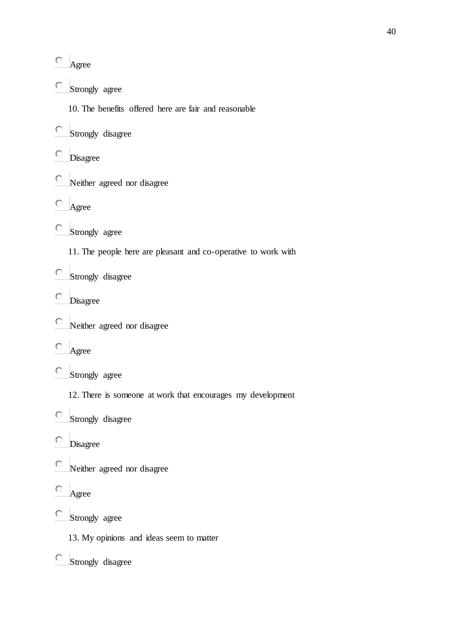- Agree
- О. Strongly agree
	- 10. The benefits offered here are fair and reasonable
- Strongly disagree
- О. Disagree
- Neither agreed nor disagree
- 0 Agree
- Strongly agree
	- 11. The people here are pleasant and co-operative to work with
- $\bigcirc$ Strongly disagree
- Disagree
- $\circ$ Neither agreed nor disagree
- $\circ$ Agree
- Strongly agree
	- 12. There is someone at work that encourages my development
- Strongly disagree
- Disagree
- $\bigcirc$ Neither agreed nor disagree
- 0 Agree
- Strongly agree
	- 13. My opinions and ideas seem to matter
- Strongly disagree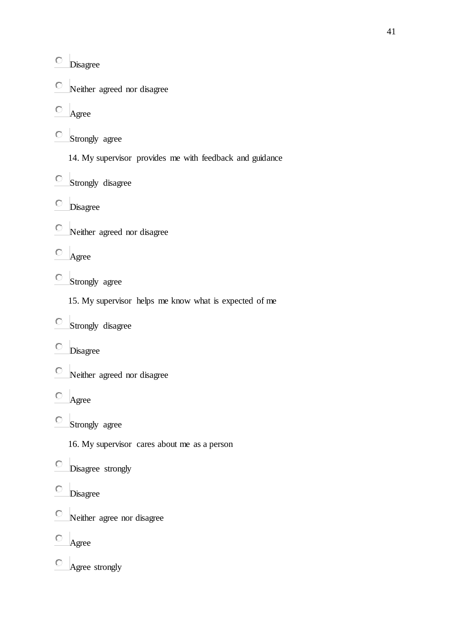|    | Disagree                                                 |
|----|----------------------------------------------------------|
|    | $\circ$ Neither agreed nor disagree                      |
|    | Agree                                                    |
|    | Strongly agree                                           |
|    | 14. My supervisor provides me with feedback and guidance |
|    | Strongly disagree                                        |
|    | Disagree                                                 |
|    | $\circ$ Neither agreed nor disagree                      |
|    | Agree                                                    |
| О. | Strongly agree                                           |
|    | 15. My supervisor helps me know what is expected of me   |
|    | Strongly disagree                                        |
|    | Disagree                                                 |
| О  | Neither agreed nor disagree                              |
| О  | Agree                                                    |
|    | Strongly agree                                           |
|    | 16. My supervisor cares about me as a person             |
|    | Disagree strongly                                        |
|    | Disagree                                                 |
|    | Neither agree nor disagree                               |
|    | Agree                                                    |

Agree strongly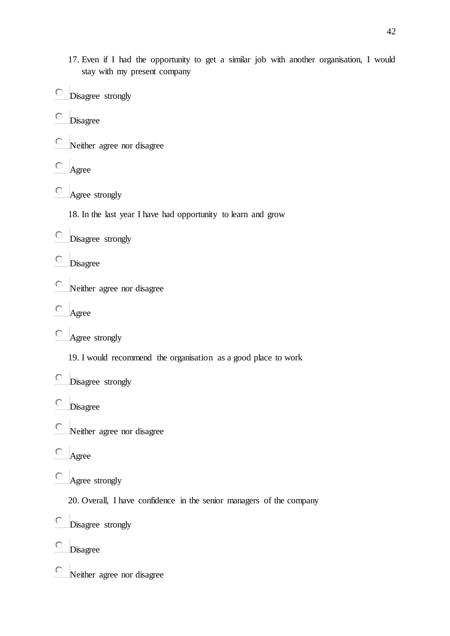- 17. Even if I had the opportunity to get a similar job with another organisation, I would stay with my present company
- Disagree strongly
- Disagree
- Neither agree nor disagree
- О Agree
- Agree strongly
	- 18. In the last year I have had opportunity to learn and grow
- Disagree strongly
- Disagree
- $\circ$ Neither agree nor disagree
- O Agree
- $\circ$  Agree strongly
	- 19. I would recommend the organisation as a good place to work
- $\circ$ Disagree strongly
- $\circ$ Disagree
- $\circ$ Neither agree nor disagree
- $\circ$ Agree
- О Agree strongly
	- 20. Overall, I have confidence in the senior managers of the company
- O Disagree strongly
- O Disagree
- $\circ$ Neither agree nor disagree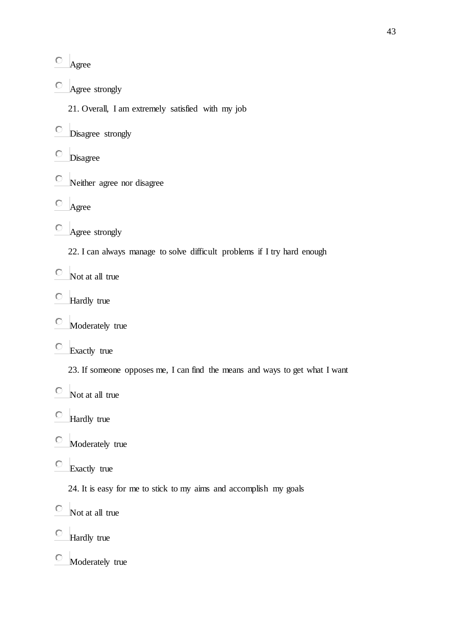- $\bigcirc$ Agree
- О. Agree strongly
	- 21. Overall, I am extremely satisfied with my job
- Disagree strongly
- O Disagree
- $\circ$ Neither agree nor disagree
- $\circ$ Agree
- Agree strongly
	- 22. I can always manage to solve difficult problems if I try hard enough
- $\bigcirc$ Not at all true
- О. Hardly true
- $\circ$ Moderately true
- $\circ$ Exactly true
	- 23. If someone opposes me, I can find the means and ways to get what I want
- $\circ$ Not at all true
- $\circ$ Hardly true
- $\circ$ Moderately true
- Exactly true
	- 24. It is easy for me to stick to my aims and accomplish my goals
- $\circ$ Not at all true
- $\circ$ Hardly true
- $\circ$ Moderately true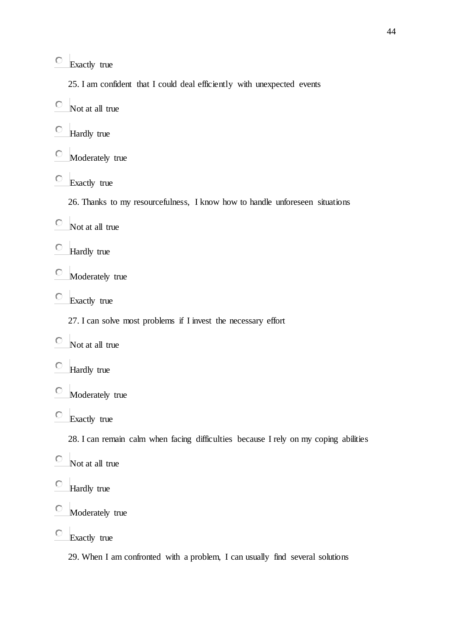О Exactly true

25. I am confident that I could deal efficiently with unexpected events

- $\circ$ Not at all true
- $\circ$ Hardly true
- $\circ$ Moderately true
- О Exactly true

26. Thanks to my resourcefulness, I know how to handle unforeseen situations

- $\circ$ Not at all true
- $\circ$ Hardly true
- $\circ$ Moderately true
- O Exactly true

27. I can solve most problems if I invest the necessary effort

- $\circ$ Not at all true
- $\circ$ Hardly true
- $\circ$ Moderately true
- O Exactly true

28. I can remain calm when facing difficulties because I rely on my coping abilities

- $\circ$ Not at all true
- $\circ$ Hardly true
- $\circ$ Moderately true
- $\circ$ Exactly true

29. When I am confronted with a problem, I can usually find several solutions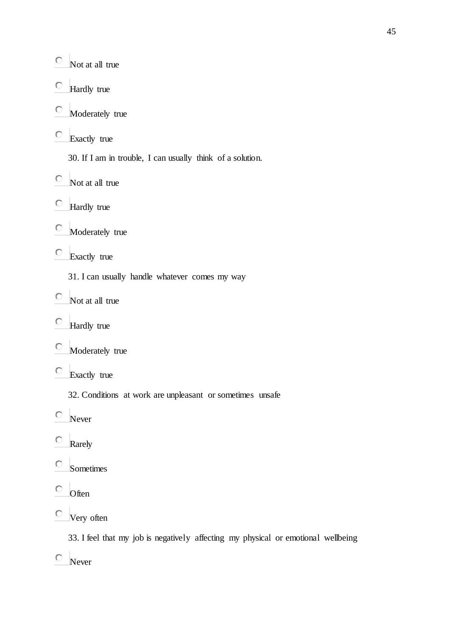- $\circ$  Not at all true
- $\circ$ Hardly true
- $\circ$ Moderately true
- $\bigcirc$ Exactly true
	- 30. If I am in trouble, I can usually think of a solution.
- $\circ$  Not at all true
- Hardly true
- $\bigcirc$ Moderately true
- Exactly true
	- 31. I can usually handle whatever comes my way
- $\circ$  Not at all true
- 0. Hardly true
- $\bigcirc$ Moderately true
- Exactly true
	- 32. Conditions at work are unpleasant or sometimes unsafe
- Never
- $\circ$ Rarely
- $\circ$ Sometimes
- $\circ$  Often
- Very often

33. I feel that my job is negatively affecting my physical or emotional wellbeing

Never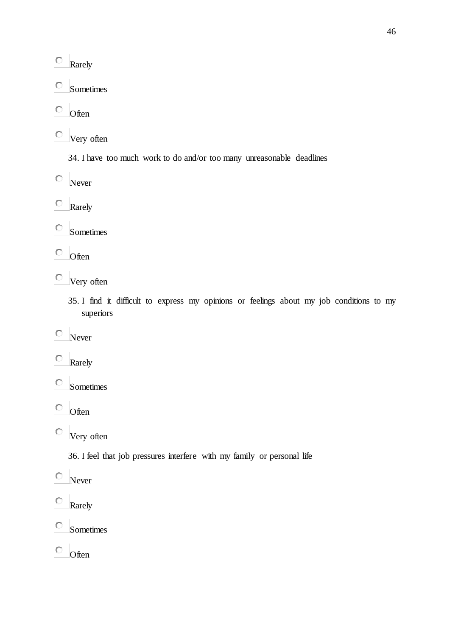- $\bigcirc$ Rarely
- $\circ$ Sometimes
- $\circ$ **Often**
- Very often
	- 34. I have too much work to do and/or too many unreasonable deadlines
- $\circ$  Never
- $\circ$ Rarely
- $\circ$ Sometimes
- $\circ$  Often
- Very often
	- 35. I find it difficult to express my opinions or feelings about my job conditions to my superiors
- $\circ$ Never
- $\circ$ Rarely
- $\circ$ Sometimes
- $\circ$ Often
- Very often
	- 36. I feel that job pressures interfere with my family or personal life
- $\bigcirc$ Never
- $\circ$ Rarely
- $\circ$ Sometimes
- $\circ$ **Often**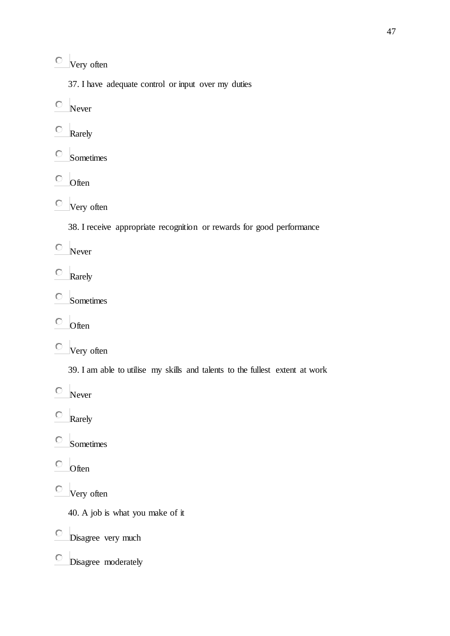Very often

37. I have adequate control or input over my duties

 $\circ$  Never

- О Rarely
- $\circ$ Sometimes
- $\circ$ **Often**

Very often

38. I receive appropriate recognition or rewards for good performance

Never

- $\circ$ Rarely
- $\circ$ Sometimes
- $\circ$ Often

Very often

39. I am able to utilise my skills and talents to the fullest extent at work

 $\circ$  Never

 $\circ$ Rarely

 $\circ$ Sometimes

 $\circ$  Often

Very often

40. A job is what you make of it

Disagree very much

Disagree moderately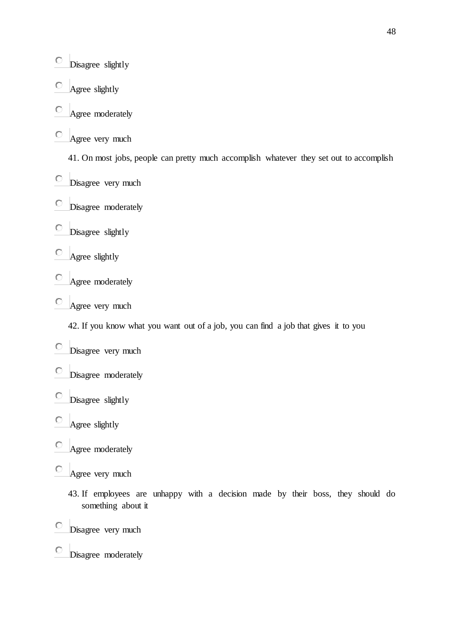- $\bigcirc$ Disagree slightly
- O Agree slightly
- O Agree moderately
- Agree very much

41. On most jobs, people can pretty much accomplish whatever they set out to accomplish

- Disagree very much
- Disagree moderately
- $\bigcirc$ Disagree slightly
- Agree slightly
- Agree moderately
- Agree very much

42. If you know what you want out of a job, you can find a job that gives it to you

- Disagree very much
- Disagree moderately
- $\circ$ Disagree slightly
- O Agree slightly
- $\circ$ Agree moderately
- O Agree very much
	- 43. If employees are unhappy with a decision made by their boss, they should do something about it
- O Disagree very much
- $\bigcirc$ Disagree moderately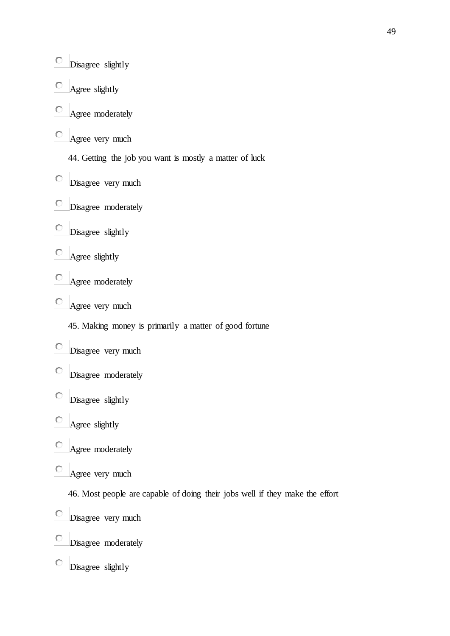- $\bigcirc$ Disagree slightly
- $\circ$ Agree slightly
- O Agree moderately
- Agree very much

44. Getting the job you want is mostly a matter of luck

- Disagree very much
- Disagree moderately
- $\bigcirc$ Disagree slightly
- Agree slightly
- Agree moderately
- Agree very much

45. Making money is primarily a matter of good fortune

- Disagree very much
- Disagree moderately
- $\bigcirc$ Disagree slightly
- О Agree slightly
- О Agree moderately
- O Agree very much
	- 46. Most people are capable of doing their jobs well if they make the effort
- 0 Disagree very much
- $\circ$ Disagree moderately
- $\circ$ Disagree slightly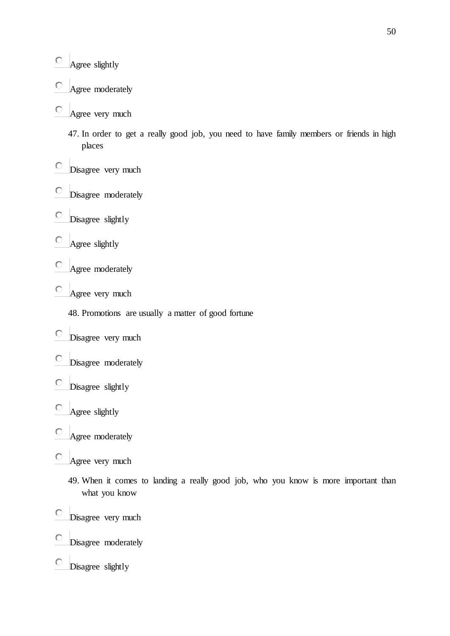- O Agree moderately
- Agree very much
	- 47. In order to get a really good job, you need to have family members or friends in high places
- 0 Disagree very much
- О. Disagree moderately
- $\circ$ Disagree slightly
- $\circ$ Agree slightly
- O Agree moderately
- О Agree very much
	- 48. Promotions are usually a matter of good fortune
- $\circ$  Disagree very much
- О. Disagree moderately
- $\circ$ Disagree slightly
- $\circ$ Agree slightly
- O Agree moderately
- O Agree very much
	- 49. When it comes to landing a really good job, who you know is more important than what you know
- $\circ$ Disagree very much
- $\circ$ Disagree moderately
- $\circ$ Disagree slightly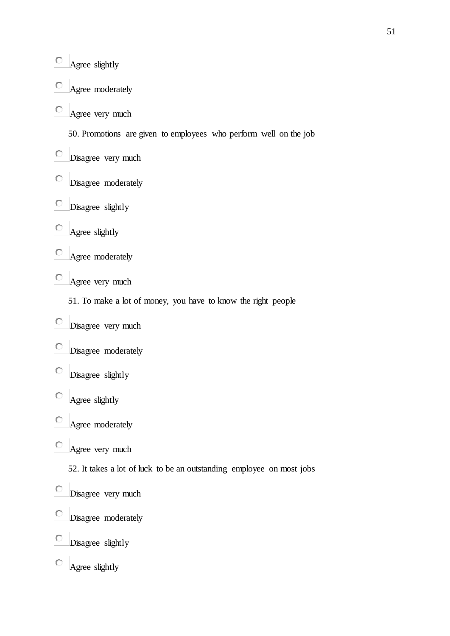- $\bigcirc$ Agree slightly
- Agree moderately O
- Agree very much

50. Promotions are given to employees who perform well on the job

- Disagree very much
- Disagree moderately
- Disagree slightly  $\circ$
- $\bigcirc$ Agree slightly
- Agree moderately
- Agree very much
	- 51. To make a lot of money, you have to know the right people
- Disagree very much
- Disagree moderately
- Disagree slightly
- O Agree slightly
- О Agree moderately
- $\bigcirc$ Agree very much

52. It takes a lot of luck to be an outstanding employee on most jobs

- Disagree very much
- $\bigcirc$ Disagree moderately
- Disagree slightly  $\circ$
- $\circ$ Agree slightly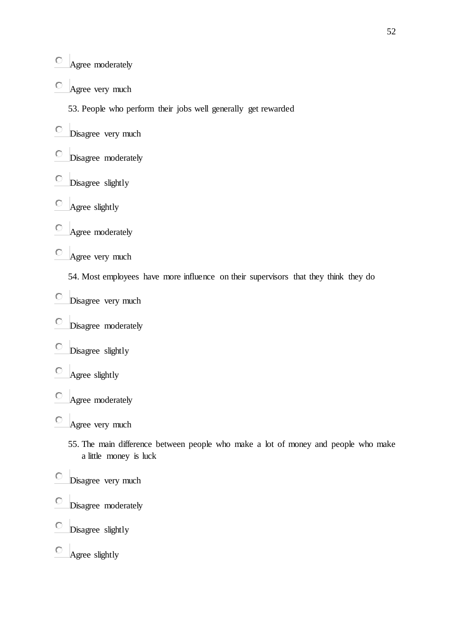- $\bigcirc$ Agree moderately
- О. Agree very much

53. People who perform their jobs well generally get rewarded

- Disagree very much
- Disagree moderately O
- $\circ$ Disagree slightly
- $\circ$ Agree slightly
- O Agree moderately
- Agree very much

54. Most employees have more influence on their supervisors that they think they do

- Disagree very much
- $\bigcirc$ Disagree moderately
- $\circ$ Disagree slightly
- $\circ$ Agree slightly
- 0 Agree moderately
- $\circ$  Agree very much
	- 55. The main difference between people who make a lot of money and people who make a little money is luck
- $\circ$ Disagree very much
- $\circ$ Disagree moderately
- O Disagree slightly
- $\bigcirc$ Agree slightly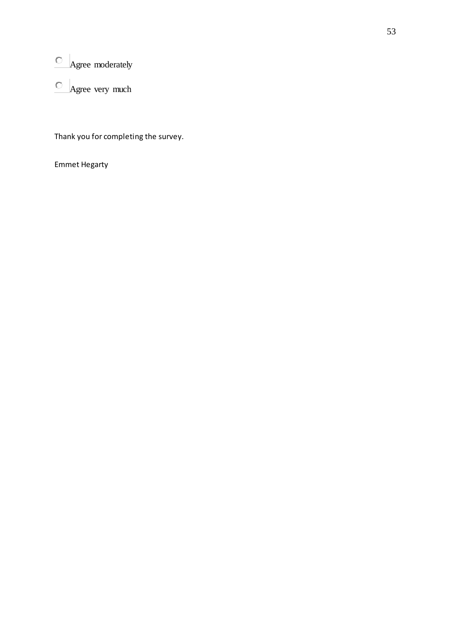- $\circ$  Agree moderately
- $\circ$  Agree very much

Thank you for completing the survey.

Emmet Hegarty